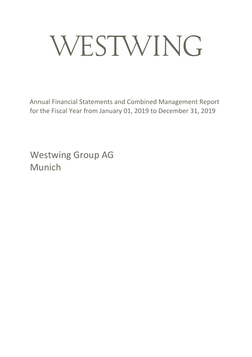# WESTWING

Annual Financial Statements and Combined Management Report for the Fiscal Year from January 01, 2019 to December 31, 2019

Westwing Group AG Munich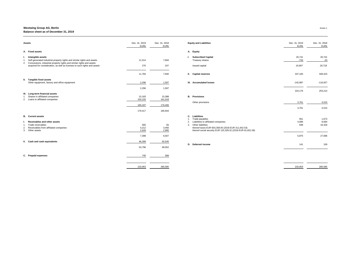| <b>Assets</b>                                                                                                                                         | Dec. 31, 2019<br><b>EURK</b> | Dec. 31, 2018<br><b>EURK</b> | <b>Equity and Liabilities</b>                                                                                                                | Dec. 31, 2019<br><b>EURK</b> | Dec. 31, 2018<br><b>EURk</b> |
|-------------------------------------------------------------------------------------------------------------------------------------------------------|------------------------------|------------------------------|----------------------------------------------------------------------------------------------------------------------------------------------|------------------------------|------------------------------|
| A. Fixed assets                                                                                                                                       |                              |                              | A. Equity                                                                                                                                    |                              |                              |
| Intangible assets<br>Self-generated industrial property rights and similar rights and assets                                                          | 11,514                       | 7,694                        | <b>Subscribed Capital</b><br>Treasury shares                                                                                                 | 20,741<br>$-743$             | 20,741<br>$-23$              |
| 2. Concessions, industrial property rights and similar rights and assets<br>acquired for consideration, as well as licenses to such rights and assets | 270                          | 247                          | Issued capital                                                                                                                               | 19,997                       | 20,718                       |
|                                                                                                                                                       | 11,784                       | 7,940                        | II. Capital reserves                                                                                                                         | 347,165                      | 349,423                      |
| II. Tangible fixed assets<br>Other equipment, factory and office equipment                                                                            | 2,296                        | 1,597                        | III. Accumulated losses                                                                                                                      | $-142,987$                   | $-116,927$                   |
|                                                                                                                                                       | 2,296                        | 1,597                        |                                                                                                                                              | 224,176                      | 253,214                      |
| III. Long-term financial assets<br>Shares in affiliated companies<br>2. Loans to affiliated companies                                                 | 15,183<br>150,155            | 15,388<br>161,018            | <b>B.</b> Provisions                                                                                                                         |                              |                              |
|                                                                                                                                                       | 165,337                      | 176,406                      | Other provisions                                                                                                                             | 3,761                        | 4,515                        |
|                                                                                                                                                       | 179,417                      | 185,944                      |                                                                                                                                              | 3,761                        | 4,515                        |
| <b>B.</b> Current assets                                                                                                                              |                              |                              | C. Liabilities<br>Trade payables                                                                                                             | 951                          | 1,673                        |
| <b>Receivables and other assets</b>                                                                                                                   |                              |                              | Liabilities to affiliated companies<br>2.                                                                                                    | 4,086                        | 9,694                        |
| Trade receivables<br>Receivables from affiliated companies<br>2.<br>3. Other assets                                                                   | 560<br>4,212<br>2,626        | 56<br>3,456<br>2,995         | Other liabilities<br>3.<br>thereof taxes EUR 603,358.05 (2018 EUR 311,642.53)<br>thereof social security EUR 125,328.32 (2018 EUR 81,831.09) | 838                          | 16,329                       |
|                                                                                                                                                       | 7,398                        | 6,507                        |                                                                                                                                              | 5,875                        | 27,696                       |
| II. Cash and cash equivalents                                                                                                                         | 46,399                       | 92,545                       |                                                                                                                                              |                              |                              |
|                                                                                                                                                       | 53,796                       | 99,052                       | D. Deferred income                                                                                                                           | 141                          | 159                          |
| C. Prepaid expenses                                                                                                                                   | 740                          | 589                          |                                                                                                                                              |                              |                              |
|                                                                                                                                                       | 233,953                      | 285,585                      |                                                                                                                                              | 233,953                      | 285,585                      |

| Dec. 31, 2018<br><b>EURK</b> | Dec. 31, 2019<br><b>EURK</b> | <b>Equity and Liabilities</b>                                                                                                                                                                                                                        | Dec. 31, 2018<br><b>EURk</b> | 2019<br><b>EURk</b>      |
|------------------------------|------------------------------|------------------------------------------------------------------------------------------------------------------------------------------------------------------------------------------------------------------------------------------------------|------------------------------|--------------------------|
|                              |                              | <b>Equity</b><br>А.                                                                                                                                                                                                                                  |                              |                          |
| 20,741<br>$-23$              | 20,741<br>$-743$             | <b>Subscribed Capital</b><br>L.<br>Treasury shares                                                                                                                                                                                                   | 7,694                        | 11,514                   |
| 20,718                       | 19,997                       | Issued capital                                                                                                                                                                                                                                       | 247                          | 270                      |
| 349,423                      | 347,165                      | Н.<br><b>Capital reserves</b>                                                                                                                                                                                                                        | 7,940                        | 11,784                   |
| $-116,927$                   | $-142,987$                   | <b>Accumulated losses</b><br>III.                                                                                                                                                                                                                    | 1,597                        | 2,296                    |
| 253,214                      | 224,176                      |                                                                                                                                                                                                                                                      | 1,597                        | 2,296                    |
|                              |                              | <b>B.</b><br><b>Provisions</b>                                                                                                                                                                                                                       | 15,388<br>161,018            | 15,183<br><u>50,155 </u> |
| 4,515                        | 3,761                        | Other provisions                                                                                                                                                                                                                                     | 176,406                      | 65,337                   |
| 4,515                        | 3,761                        |                                                                                                                                                                                                                                                      | 185,944                      | 79,417                   |
| 1,673<br>9,694<br>16,329     | 951<br>4,086<br>838          | <b>Liabilities</b><br>C.<br>Trade payables<br>1.<br>Liabilities to affiliated companies<br>2.<br><b>Other liabilities</b><br>3.<br>thereof taxes EUR 603,358.05 (2018 EUR 311,642.53)<br>thereof social security EUR 125,328.32 (2018 EUR 81,831.09) | 56<br>3,456<br>2,995         | 560<br>4,212<br>2,626    |
| 27,696                       | 5,875                        |                                                                                                                                                                                                                                                      | 6,507                        | 7,398                    |
|                              |                              |                                                                                                                                                                                                                                                      | 92,545                       | 46,399                   |
| 159                          | 141                          | <b>Deferred income</b><br>D.                                                                                                                                                                                                                         | 99,052                       | 53,796                   |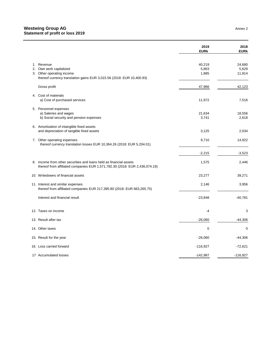|    |                                                                                                                                                   | 2019<br><b>EURK</b>      | 2018<br><b>EURK</b>       |
|----|---------------------------------------------------------------------------------------------------------------------------------------------------|--------------------------|---------------------------|
| 2. | 1. Revenue<br>Own work capitalized<br>3. Other operating income<br>thereof currency translation gains EUR 3,015.56 (2018: EUR 10,400.93)          | 40,219<br>5,863<br>1,885 | 24,680<br>5,629<br>11,814 |
|    | Gross profit                                                                                                                                      | 47,966                   | 42,123                    |
|    | 4. Cost of materials<br>a) Cost of purchased services                                                                                             | 11,972                   | 7,516                     |
|    | 5. Personnel expenses<br>a) Saleries and wages<br>b) Social security and pension expenses                                                         | 21,634<br>3,741          | 18,556<br>2,618           |
|    | 6. Amortization of intangible fixed assets<br>and depreciation of tangible fixed assets                                                           | 3,125                    | 2,034                     |
|    | 7. Other operating expenses<br>thereof currency translation losses EUR 10,364.26 (2018: EUR 5,204.01)                                             | 9,710                    | 14,922                    |
|    |                                                                                                                                                   | $-2,215$                 | $-3,523$                  |
|    | 8. Income from other securities and loans held as financial assets<br>thereof from affiliated companies EUR 1,571,782.30 (2018: EUR 2,436,074.19) | 1,575                    | 2,446                     |
|    | 10. Writedowns of financial assets                                                                                                                | 23,277                   | 39,271                    |
|    | 11. Interest and similar expenses<br>thereof from affiliated companies EUR 217,395.80 (2018: EUR 663,265.75)                                      | 2,146                    | 3,956                     |
|    | Interest and financial result                                                                                                                     | $-23,848$                | $-40,781$                 |
|    | 12. Taxes on income                                                                                                                               | $-4$                     | 3                         |
|    | 13. Result after tax                                                                                                                              | $-26,060$                | $-44,306$                 |
|    | 14. Other taxes                                                                                                                                   | $\boldsymbol{0}$         | $\overline{0}$            |
|    | 15. Result for the year                                                                                                                           | $-26,060$                | $-44,306$                 |
|    | 16. Loss carried forward                                                                                                                          | $-116,927$               | $-72,621$                 |
|    | 17 Accumulated losses                                                                                                                             | $-142,987$               | $-116,927$                |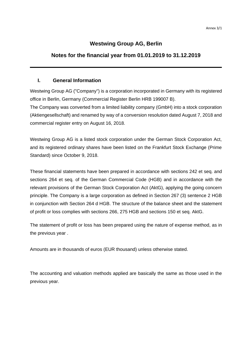# **Westwing Group AG, Berlin**

# **Notes for the financial year from 01.01.2019 to 31.12.2019**

# **I. General Information**

Westwing Group AG ("Company") is a corporation incorporated in Germany with its registered office in Berlin, Germany (Commercial Register Berlin HRB 199007 B).

The Company was converted from a limited liability company (GmbH) into a stock corporation (Aktiengesellschaft) and renamed by way of a conversion resolution dated August 7, 2018 and commercial register entry on August 16, 2018.

Westwing Group AG is a listed stock corporation under the German Stock Corporation Act, and its registered ordinary shares have been listed on the Frankfurt Stock Exchange (Prime Standard) since October 9, 2018.

These financial statements have been prepared in accordance with sections 242 et seq. and sections 264 et seq. of the German Commercial Code (HGB) and in accordance with the relevant provisions of the German Stock Corporation Act (AktG), applying the going concern principle. The Company is a large corporation as defined in Section 267 (3) sentence 2 HGB in conjunction with Section 264 d HGB. The structure of the balance sheet and the statement of profit or loss complies with sections 266, 275 HGB and sections 150 et seq. AktG.

The statement of profit or loss has been prepared using the nature of expense method, as in the previous year .

Amounts are in thousands of euros (EUR thousand) unless otherwise stated.

The accounting and valuation methods applied are basically the same as those used in the previous year.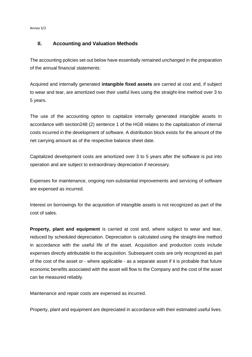Annex 3/2

# **II. Accounting and Valuation Methods**

The accounting policies set out below have essentially remained unchanged in the preparation of the annual financial statements:

Acquired and internally generated **intangible fixed assets** are carried at cost and, if subject to wear and tear, are amortized over their useful lives using the straight-line method over 3 to 5 years.

The use of the accounting option to capitalize internally generated intangible assets in accordance with section248 (2) sentence 1 of the HGB relates to the capitalization of internal costs incurred in the development of software. A distribution block exists for the amount of the net carrying amount as of the respective balance sheet date.

Capitalized development costs are amortized over 3 to 5 years after the software is put into operation and are subject to extraordinary depreciation if necessary.

Expenses for maintenance, ongoing non-substantial improvements and servicing of software are expensed as incurred.

Interest on borrowings for the acquisition of intangible assets is not recognized as part of the cost of sales.

**Property, plant and equipment** is carried at cost and, where subject to wear and tear, reduced by scheduled depreciation. Depreciation is calculated using the straight-line method in accordance with the useful life of the asset. Acquisition and production costs include expenses directly attributable to the acquisition. Subsequent costs are only recognized as part of the cost of the asset or - where applicable - as a separate asset if it is probable that future economic benefits associated with the asset will flow to the Company and the cost of the asset can be measured reliably.

Maintenance and repair costs are expensed as incurred.

Property, plant and equipment are depreciated in accordance with their estimated useful lives.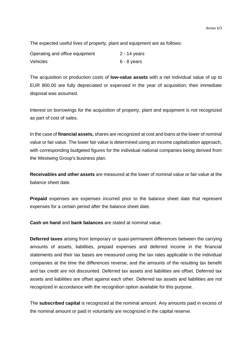The expected useful lives of property, plant and equipment are as follows:

| Operating and office equipment | 2 - 14 years |
|--------------------------------|--------------|
| <b>Vehicles</b>                | 6 - 8 years  |

The acquisition or production costs of **low-value assets** with a net individual value of up to EUR 800.00 are fully depreciated or expensed in the year of acquisition; their immediate disposal was assumed.

Interest on borrowings for the acquisition of property, plant and equipment is not recognized as part of cost of sales.

In the case of **financial assets,** shares are recognized at cost and loans at the lower of nominal value or fair value. The lower fair value is determined using an income capitalization approach, with corresponding budgeted figures for the individual national companies being derived from the Westwing Group's business plan.

**Receivables and other assets** are measured at the lower of nominal value or fair value at the balance sheet date.

**Prepaid** expenses are expenses incurred prior to the balance sheet date that represent expenses for a certain period after the balance sheet date.

**Cash on hand** and **bank balances** are stated at nominal value.

**Deferred taxes** arising from temporary or quasi-permanent differences between the carrying amounts of assets, liabilities, prepaid expenses and deferred income in the financial statements and their tax bases are measured using the tax rates applicable in the individual companies at the time the differences reverse, and the amounts of the resulting tax benefit and tax credit are not discounted. Deferred tax assets and liabilities are offset. Deferred tax assets and liabilities are offset against each other. Deferred tax assets and liabilities are not recognized in accordance with the recognition option available for this purpose.

The **subscribed capital** is recognized at the nominal amount. Any amounts paid in excess of the nominal amount or paid in voluntarily are recognized in the capital reserve.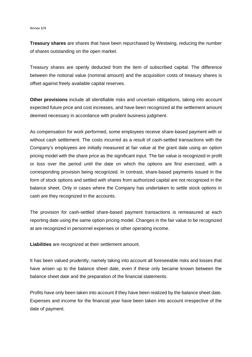#### Annex 3/4

**Treasury shares** are shares that have been repurchased by Westwing, reducing the number of shares outstanding on the open market.

Treasury shares are openly deducted from the item of subscribed capital. The difference between the notional value (nominal amount) and the acquisition costs of treasury shares is offset against freely available capital reserves.

**Other provisions** include all identifiable risks and uncertain obligations, taking into account expected future price and cost increases, and have been recognized at the settlement amount deemed necessary in accordance with prudent business judgment.

As compensation for work performed, some employees receive share-based payment with or without cash settlement. The costs incurred as a result of cash-settled transactions with the Company's employees are initially measured at fair value at the grant date using an option pricing model with the share price as the significant input. The fair value is recognized in profit or loss over the period until the date on which the options are first exercised, with a corresponding provision being recognized. In contrast, share-based payments issued in the form of stock options and settled with shares from authorized capital are not recognized in the balance sheet. Only in cases where the Company has undertaken to settle stock options in cash are they recognized in the accounts.

The provision for cash-settled share-based payment transactions is remeasured at each reporting date using the same option pricing model. Changes in the fair value to be recognized at are recognized in personnel expenses or other operating income.

**Liabilities** are recognized at their settlement amount.

It has been valued prudently, namely taking into account all foreseeable risks and losses that have arisen up to the balance sheet date, even if these only became known between the balance sheet date and the preparation of the financial statements.

Profits have only been taken into account if they have been realized by the balance sheet date. Expenses and income for the financial year have been taken into account irrespective of the date of payment.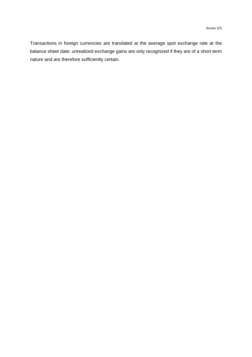Transactions in foreign currencies are translated at the average spot exchange rate at the balance sheet date; unrealized exchange gains are only recognized if they are of a short-term nature and are therefore sufficiently certain.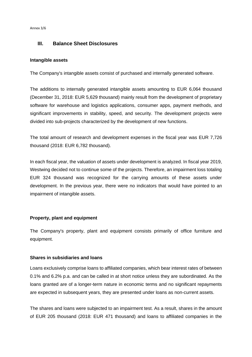Annex 3/6

# **III. Balance Sheet Disclosures**

# **Intangible assets**

The Company's intangible assets consist of purchased and internally generated software.

The additions to internally generated intangible assets amounting to EUR 6,064 thousand (December 31, 2018: EUR 5,629 thousand) mainly result from the development of proprietary software for warehouse and logistics applications, consumer apps, payment methods, and significant improvements in stability, speed, and security. The development projects were divided into sub-projects characterized by the development of new functions.

The total amount of research and development expenses in the fiscal year was EUR 7,726 thousand (2018: EUR 6,782 thousand).

In each fiscal year, the valuation of assets under development is analyzed. In fiscal year 2019, Westwing decided not to continue some of the projects. Therefore, an impairment loss totaling EUR 324 thousand was recognized for the carrying amounts of these assets under development. In the previous year, there were no indicators that would have pointed to an impairment of intangible assets.

# **Property, plant and equipment**

The Company's property, plant and equipment consists primarily of office furniture and equipment.

# **Shares in subsidiaries and loans**

Loans exclusively comprise loans to affiliated companies, which bear interest rates of between 0.1% and 6.2% p.a. and can be called in at short notice unless they are subordinated. As the loans granted are of a longer-term nature in economic terms and no significant repayments are expected in subsequent years, they are presented under loans as non-current assets.

The shares and loans were subjected to an impairment test. As a result, shares in the amount of EUR 205 thousand (2018: EUR 471 thousand) and loans to affiliated companies in the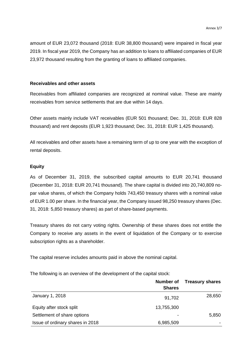amount of EUR 23,072 thousand (2018: EUR 38,800 thousand) were impaired in fiscal year 2019. In fiscal year 2019, the Company has an addition to loans to affiliated companies of EUR 23,972 thousand resulting from the granting of loans to affiliated companies.

# **Receivables and other assets**

Receivables from affiliated companies are recognized at nominal value. These are mainly receivables from service settlements that are due within 14 days.

Other assets mainly include VAT receivables (EUR 501 thousand; Dec. 31, 2018: EUR 828 thousand) and rent deposits (EUR 1,923 thousand; Dec. 31, 2018: EUR 1,425 thousand).

All receivables and other assets have a remaining term of up to one year with the exception of rental deposits.

# **Equity**

As of December 31, 2019, the subscribed capital amounts to EUR 20,741 thousand (December 31, 2018: EUR 20,741 thousand). The share capital is divided into 20,740,809 nopar value shares, of which the Company holds 743,450 treasury shares with a nominal value of EUR 1.00 per share. In the financial year, the Company issued 98,250 treasury shares (Dec. 31, 2018: 5,850 treasury shares) as part of share-based payments.

Treasury shares do not carry voting rights. Ownership of these shares does not entitle the Company to receive any assets in the event of liquidation of the Company or to exercise subscription rights as a shareholder.

The capital reserve includes amounts paid in above the nominal capital.

The following is an overview of the development of the capital stock:

|                                  | Number of     | <b>Treasury shares</b> |
|----------------------------------|---------------|------------------------|
|                                  | <b>Shares</b> |                        |
| January 1, 2018                  | 91,702        | 28,650                 |
| Equity after stock split         | 13,755,300    |                        |
| Settlement of share options      |               | 5,850                  |
| Issue of ordinary shares in 2018 | 6,985,509     |                        |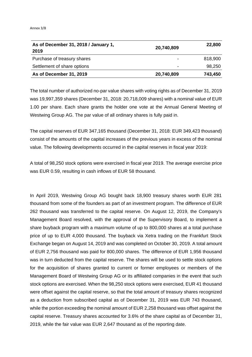| As of December 31, 2018 / January 1,<br>2019 | 20,740,809               | 22,800  |
|----------------------------------------------|--------------------------|---------|
| Purchase of treasury shares                  | $\overline{\phantom{0}}$ | 818,900 |
| Settlement of share options                  | $\overline{\phantom{0}}$ | 98,250  |
| As of December 31, 2019                      | 20,740,809               | 743,450 |

The total number of authorized no-par value shares with voting rights as of December 31, 2019 was 19,997,359 shares (December 31, 2018: 20,718,009 shares) with a nominal value of EUR 1.00 per share. Each share grants the holder one vote at the Annual General Meeting of Westwing Group AG. The par value of all ordinary shares is fully paid in.

The capital reserves of EUR 347,165 thousand (December 31, 2018: EUR 349,423 thousand) consist of the amounts of the capital increases of the previous years in excess of the nominal value. The following developments occurred in the capital reserves in fiscal year 2019:

A total of 98,250 stock options were exercised in fiscal year 2019. The average exercise price was EUR 0.59, resulting in cash inflows of EUR 58 thousand.

In April 2019, Westwing Group AG bought back 18,900 treasury shares worth EUR 281 thousand from some of the founders as part of an investment program. The difference of EUR 262 thousand was transferred to the capital reserve. On August 12, 2019, the Company's Management Board resolved, with the approval of the Supervisory Board, to implement a share buyback program with a maximum volume of up to 800,000 shares at a total purchase price of up to EUR 4,000 thousand. The buyback via Xetra trading on the Frankfurt Stock Exchange began on August 14, 2019 and was completed on October 30, 2019. A total amount of EUR 2,756 thousand was paid for 800,000 shares. The difference of EUR 1,956 thousand was in turn deducted from the capital reserve. The shares will be used to settle stock options for the acquisition of shares granted to current or former employees or members of the Management Board of Westwing Group AG or its affiliated companies in the event that such stock options are exercised. When the 98,250 stock options were exercised, EUR 41 thousand were offset against the capital reserve, so that the total amount of treasury shares recognized as a deduction from subscribed capital as of December 31, 2019 was EUR 743 thousand, while the portion exceeding the nominal amount of EUR 2,258 thousand was offset against the capital reserve. Treasury shares accounted for 3.6% of the share capital as of December 31, 2019, while the fair value was EUR 2,647 thousand as of the reporting date.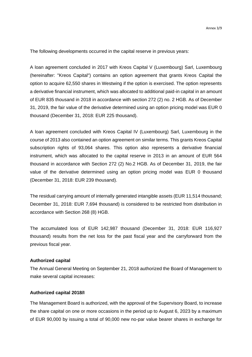The following developments occurred in the capital reserve in previous years:

A loan agreement concluded in 2017 with Kreos Capital V (Luxembourg) Sarl, Luxembourg (hereinafter: "Kreos Capital") contains an option agreement that grants Kreos Capital the option to acquire 62,550 shares in Westwing if the option is exercised. The option represents a derivative financial instrument, which was allocated to additional paid-in capital in an amount of EUR 835 thousand in 2018 in accordance with section 272 (2) no. 2 HGB. As of December 31, 2019, the fair value of the derivative determined using an option pricing model was EUR 0 thousand (December 31, 2018: EUR 225 thousand).

A loan agreement concluded with Kreos Capital IV (Luxembourg) Sarl, Luxembourg in the course of 2013 also contained an option agreement on similar terms. This grants Kreos Capital subscription rights of 93,064 shares. This option also represents a derivative financial instrument, which was allocated to the capital reserve in 2013 in an amount of EUR 564 thousand in accordance with Section 272 (2) No.2 HGB. As of December 31, 2019, the fair value of the derivative determined using an option pricing model was EUR 0 thousand (December 31, 2018: EUR 239 thousand).

The residual carrying amount of internally generated intangible assets (EUR 11,514 thousand; December 31, 2018: EUR 7,694 thousand) is considered to be restricted from distribution in accordance with Section 268 (8) HGB.

The accumulated loss of EUR 142,987 thousand (December 31, 2018: EUR 116,927 thousand) results from the net loss for the past fiscal year and the carryforward from the previous fiscal year.

# **Authorized capital**

The Annual General Meeting on September 21, 2018 authorized the Board of Management to make several capital increases:

# **Authorized capital 2018/I**

The Management Board is authorized, with the approval of the Supervisory Board, to increase the share capital on one or more occasions in the period up to August 6, 2023 by a maximum of EUR 90,000 by issuing a total of 90,000 new no-par value bearer shares in exchange for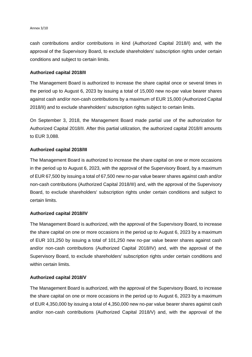#### Annex 3/10

cash contributions and/or contributions in kind (Authorized Capital 2018/I) and, with the approval of the Supervisory Board, to exclude shareholders' subscription rights under certain conditions and subject to certain limits.

# **Authorized capital 2018/II**

The Management Board is authorized to increase the share capital once or several times in the period up to August 6, 2023 by issuing a total of 15,000 new no-par value bearer shares against cash and/or non-cash contributions by a maximum of EUR 15,000 (Authorized Capital 2018/II) and to exclude shareholders' subscription rights subject to certain limits.

On September 3, 2018, the Management Board made partial use of the authorization for Authorized Capital 2018/II. After this partial utilization, the authorized capital 2018/II amounts to EUR 3,088.

# **Authorized capital 2018/III**

The Management Board is authorized to increase the share capital on one or more occasions in the period up to August 6, 2023, with the approval of the Supervisory Board, by a maximum of EUR 67,500 by issuing a total of 67,500 new no-par value bearer shares against cash and/or non-cash contributions (Authorized Capital 2018/III) and, with the approval of the Supervisory Board, to exclude shareholders' subscription rights under certain conditions and subject to certain limits.

# **Authorized capital 2018/IV**

The Management Board is authorized, with the approval of the Supervisory Board, to increase the share capital on one or more occasions in the period up to August 6, 2023 by a maximum of EUR 101,250 by issuing a total of 101,250 new no-par value bearer shares against cash and/or non-cash contributions (Authorized Capital 2018/IV) and, with the approval of the Supervisory Board, to exclude shareholders' subscription rights under certain conditions and within certain limits.

# **Authorized capital 2018/V**

The Management Board is authorized, with the approval of the Supervisory Board, to increase the share capital on one or more occasions in the period up to August 6, 2023 by a maximum of EUR 4,350,000 by issuing a total of 4,350,000 new no-par value bearer shares against cash and/or non-cash contributions (Authorized Capital 2018/V) and, with the approval of the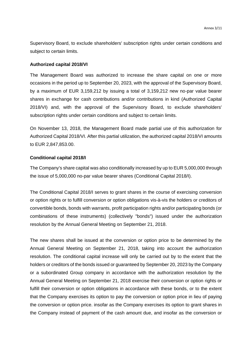Supervisory Board, to exclude shareholders' subscription rights under certain conditions and subject to certain limits.

# **Authorized capital 2018/VI**

The Management Board was authorized to increase the share capital on one or more occasions in the period up to September 20, 2023, with the approval of the Supervisory Board, by a maximum of EUR 3,159,212 by issuing a total of 3,159,212 new no-par value bearer shares in exchange for cash contributions and/or contributions in kind (Authorized Capital 2018/VI) and, with the approval of the Supervisory Board, to exclude shareholders' subscription rights under certain conditions and subject to certain limits.

On November 13, 2018, the Management Board made partial use of this authorization for Authorized Capital 2018/VI. After this partial utilization, the authorized capital 2018/VI amounts to EUR 2,847,853.00.

# **Conditional capital 2018/I**

The Company's share capital was also conditionally increased by up to EUR 5,000,000 through the issue of 5,000,000 no-par value bearer shares (Conditional Capital 2018/I).

The Conditional Capital 2018/I serves to grant shares in the course of exercising conversion or option rights or to fulfill conversion or option obligations vis-à-vis the holders or creditors of convertible bonds, bonds with warrants, profit participation rights and/or participating bonds (or combinations of these instruments) (collectively "bonds") issued under the authorization resolution by the Annual General Meeting on September 21, 2018.

The new shares shall be issued at the conversion or option price to be determined by the Annual General Meeting on September 21, 2018, taking into account the authorization resolution. The conditional capital increase will only be carried out by to the extent that the holders or creditors of the bonds issued or guaranteed by September 20, 2023 by the Company or a subordinated Group company in accordance with the authorization resolution by the Annual General Meeting on September 21, 2018 exercise their conversion or option rights or fulfill their conversion or option obligations in accordance with these bonds, or to the extent that the Company exercises its option to pay the conversion or option price in lieu of paying the conversion or option price. insofar as the Company exercises its option to grant shares in the Company instead of payment of the cash amount due, and insofar as the conversion or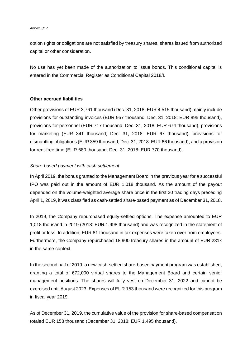option rights or obligations are not satisfied by treasury shares, shares issued from authorized capital or other consideration.

No use has yet been made of the authorization to issue bonds. This conditional capital is entered in the Commercial Register as Conditional Capital 2018/I.

# **Other accrued liabilities**

Other provisions of EUR 3,761 thousand (Dec. 31, 2018: EUR 4,515 thousand) mainly include provisions for outstanding invoices (EUR 957 thousand; Dec. 31, 2018: EUR 895 thousand), provisions for personnel (EUR 717 thousand; Dec. 31, 2018: EUR 674 thousand), provisions for marketing (EUR 341 thousand; Dec. 31, 2018: EUR 67 thousand), provisions for dismantling obligations (EUR 359 thousand; Dec. 31, 2018: EUR 66 thousand), and a provision for rent-free time (EUR 680 thousand; Dec. 31, 2018: EUR 770 thousand).

# *Share-based payment with cash settlement*

In April 2019, the bonus granted to the Management Board in the previous year for a successful IPO was paid out in the amount of EUR 1,018 thousand. As the amount of the payout depended on the volume-weighted average share price in the first 30 trading days preceding April 1, 2019, it was classified as cash-settled share-based payment as of December 31, 2018.

In 2019, the Company repurchased equity-settled options. The expense amounted to EUR 1,018 thousand in 2019 (2018: EUR 1,998 thousand) and was recognized in the statement of profit or loss. In addition, EUR 81 thousand in tax expenses were taken over from employees. Furthermore, the Company repurchased 18,900 treasury shares in the amount of EUR 281k in the same context.

In the second half of 2019, a new cash-settled share-based payment program was established, granting a total of 672,000 virtual shares to the Management Board and certain senior management positions. The shares will fully vest on December 31, 2022 and cannot be exercised until August 2023. Expenses of EUR 153 thousand were recognized for this program in fiscal year 2019.

As of December 31, 2019, the cumulative value of the provision for share-based compensation totaled EUR 158 thousand (December 31, 2018: EUR 1,495 thousand).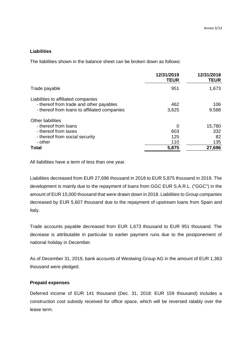# **Liabilities**

The liabilities shown in the balance sheet can be broken down as follows:

|                                                                                                                                | 12/31/2019<br><b>TEUR</b> | 12/31/2018<br><b>TEUR</b>  |
|--------------------------------------------------------------------------------------------------------------------------------|---------------------------|----------------------------|
| Trade payable                                                                                                                  | 951                       | 1,673                      |
| Liabilities to affiliated companies<br>- thereof from trade and other payables<br>- thereof from loans to affiliated companies | 462<br>3,625              | 106<br>9,588               |
| <b>Other liabilities</b><br>- thereof from loans<br>- thereof from taxes<br>- thereof from social security<br>- other          | 0<br>603<br>125<br>110    | 15,780<br>332<br>82<br>135 |
| Total                                                                                                                          | 5,875                     | 27,696                     |

All liabilities have a term of less than one year.

Liabilities decreased from EUR 27,696 thousand in 2018 to EUR 5,875 thousand in 2019. The development is mainly due to the repayment of loans from GGC EUR S.À.R.L. ("GGC") in the amount of EUR 15,000 thousand that were drawn down in 2018. Liabilities to Group companies decreased by EUR 5,607 thousand due to the repayment of upstream loans from Spain and Italy.

Trade accounts payable decreased from EUR 1,673 thousand to EUR 951 thousand. The decrease is attributable in particular to earlier payment runs due to the postponement of national holiday in December.

As of December 31, 2019, bank accounts of Westwing Group AG in the amount of EUR 1,363 thousand were pledged.

# **Prepaid expenses**

Deferred income of EUR 141 thousand (Dec. 31, 2018: EUR 159 thousand) includes a construction cost subsidy received for office space, which will be reversed ratably over the lease term.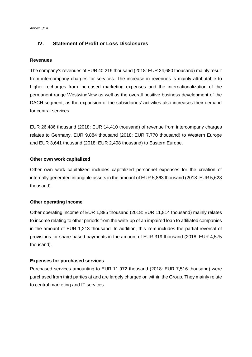# **IV. Statement of Profit or Loss Disclosures**

# **Revenues**

The company's revenues of EUR 40,219 thousand (2018: EUR 24,680 thousand) mainly result from intercompany charges for services. The increase in revenues is mainly attributable to higher recharges from increased marketing expenses and the internationalization of the permanent range WestwingNow as well as the overall positive business development of the DACH segment, as the expansion of the subsidiaries' activities also increases their demand for central services.

EUR 26,486 thousand (2018: EUR 14,410 thousand) of revenue from intercompany charges relates to Germany, EUR 9,884 thousand (2018: EUR 7,770 thousand) to Western Europe and EUR 3,641 thousand (2018: EUR 2,498 thousand) to Eastern Europe.

# **Other own work capitalized**

Other own work capitalized includes capitalized personnel expenses for the creation of internally generated intangible assets in the amount of EUR 5,863 thousand (2018: EUR 5,628 thousand).

# **Other operating income**

Other operating income of EUR 1,885 thousand (2018: EUR 11,814 thousand) mainly relates to income relating to other periods from the write-up of an impaired loan to affiliated companies in the amount of EUR 1,213 thousand. In addition, this item includes the partial reversal of provisions for share-based payments in the amount of EUR 319 thousand (2018: EUR 4,575 thousand).

# **Expenses for purchased services**

Purchased services amounting to EUR 11,972 thousand (2018: EUR 7,516 thousand) were purchased from third parties at and are largely charged on within the Group. They mainly relate to central marketing and IT services.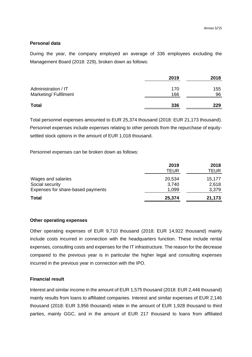# **Personal data**

During the year, the company employed an average of 336 employees excluding the Management Board (2018: 229), broken down as follows:

|                       | 2019 | 2018 |
|-----------------------|------|------|
| Administration / IT   | 170  | 155  |
| Marketing/ Fulfilment | 166  | 96   |
| <b>Total</b>          | 336  | 229  |

Total personnel expenses amounted to EUR 25,374 thousand (2018: EUR 21,173 thousand). Personnel expenses include expenses relating to other periods from the repurchase of equitysettled stock options in the amount of EUR 1,018 thousand.

Personnel expenses can be broken down as follows:

|                                   | 2019<br>TEUR | 2018<br>TEUR |
|-----------------------------------|--------------|--------------|
| Wages and salaries                | 20,534       | 15,177       |
| Social security                   | 3,740        | 2,618        |
| Expenses for share-based payments | 1,099        | 3,379        |
| <b>Total</b>                      | 25,374       | 21,173       |

# **Other operating expenses**

Other operating expenses of EUR 9,710 thousand (2018: EUR 14,922 thousand) mainly include costs incurred in connection with the headquarters function. These include rental expenses, consulting costs and expenses for the IT infrastructure. The reason for the decrease compared to the previous year is in particular the higher legal and consulting expenses incurred in the previous year in connection with the IPO.

# **Financial result**

Interest and similar income in the amount of EUR 1,575 thousand (2018: EUR 2,446 thousand) mainly results from loans to affiliated companies. Interest and similar expenses of EUR 2,146 thousand (2018: EUR 3,956 thousand) relate in the amount of EUR 1,928 thousand to third parties, mainly GGC, and in the amount of EUR 217 thousand to loans from affiliated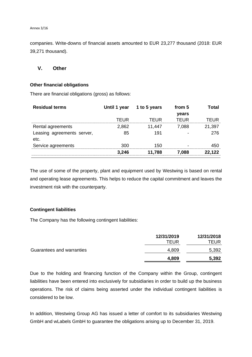companies. Write-downs of financial assets amounted to EUR 23,277 thousand (2018: EUR 39,271 thousand).

# **V. Other**

# **Other financial obligations**

There are financial obligations (gross) as follows:

| <b>Residual terms</b>              |       | Until 1 year 1 to 5 years | from 5 | Total  |
|------------------------------------|-------|---------------------------|--------|--------|
|                                    |       |                           | years  |        |
|                                    | TEUR  | TFUR                      | TFUR   | TFUR   |
| Rental agreements                  | 2,862 | 11,447                    | 7,088  | 21,397 |
| Leasing agreements server,<br>etc. | 85    | 191                       |        | 276    |
| Service agreements                 | 300   | 150                       |        | 450    |
|                                    | 3.246 | 11.788                    | 7.088  | 22.122 |

The use of some of the property, plant and equipment used by Westwing is based on rental and operating lease agreements. This helps to reduce the capital commitment and leaves the investment risk with the counterparty.

# **Contingent liabilities**

The Company has the following contingent liabilities:

|                           | 12/31/2019<br>TEUR | 12/31/2018<br>TEUR |
|---------------------------|--------------------|--------------------|
| Guarantees and warranties | 4,809              | 5,392              |
|                           | 4,809              | 5,392              |

Due to the holding and financing function of the Company within the Group, contingent liabilities have been entered into exclusively for subsidiaries in order to build up the business operations. The risk of claims being asserted under the individual contingent liabilities is considered to be low.

In addition, Westwing Group AG has issued a letter of comfort to its subsidiaries Westwing GmbH and wLabels GmbH to guarantee the obligations arising up to December 31, 2019.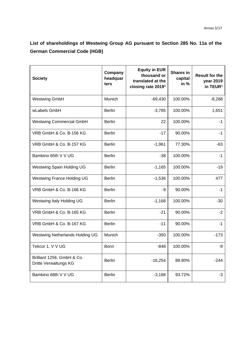**List of shareholdings of Westwing Group AG pursuant to Section 285 No. 11a of the German Commercial Code (HGB)**

| <b>Society</b>                                      | Company<br>headquar<br>ters | <b>Equity in EUR</b><br>thousand or<br>translated at the<br>closing rate 2019 <sup>1</sup> | <b>Shares in</b><br>capital<br>in % | <b>Result for the</b><br>year 2019<br>in TEUR <sup>1</sup> |
|-----------------------------------------------------|-----------------------------|--------------------------------------------------------------------------------------------|-------------------------------------|------------------------------------------------------------|
| <b>Westwing GmbH</b>                                | Munich                      | $-69,430$                                                                                  | 100.00%                             | $-8,288$                                                   |
| wLabels GmbH                                        | <b>Berlin</b>               | $-3,785$                                                                                   | 100.00%                             | 1,651                                                      |
| <b>Westwing Commercial GmbH</b>                     | <b>Berlin</b>               | 22                                                                                         | 100.00%                             | $-1$                                                       |
| VRB GmbH & Co. B-156 KG                             | <b>Berlin</b>               | $-17$                                                                                      | 90.00%                              | $-1$                                                       |
| VRB GmbH & Co. B-157 KG                             | <b>Berlin</b>               | $-1,961$                                                                                   | 77.30%                              | $-63$                                                      |
| Bambino 65th V V UG                                 | <b>Berlin</b>               | $-38$                                                                                      | 100.00%                             | $-1$                                                       |
| Westwing Spain Holding UG                           | <b>Berlin</b>               | $-1,165$                                                                                   | 100.00%                             | $-19$                                                      |
| <b>Westwing France Holding UG</b>                   | <b>Berlin</b>               | $-1,536$                                                                                   | 100.00%                             | 477                                                        |
| VRB GmbH & Co. B-166 KG                             | <b>Berlin</b>               | -9                                                                                         | 90.00%                              | $-1$                                                       |
| Westwing Italy Holding UG                           | <b>Berlin</b>               | $-1,168$                                                                                   | 100.00%                             | $-30$                                                      |
| VRB GmbH & Co. B-165 KG                             | <b>Berlin</b>               | $-21$                                                                                      | 90.00%                              | $-2$                                                       |
| VRB GmbH & Co. B-167 KG                             | <b>Berlin</b>               | $-11$                                                                                      | 90.00%                              | $-1$                                                       |
| Westwing Netherlands Holding UG                     | Munich                      | $-350$                                                                                     | 100.00%                             | $-173$                                                     |
| Tekcor 1. V V UG                                    | <b>Bonn</b>                 | $-848$                                                                                     | 100.00%                             | -9                                                         |
| Brilliant 1256. GmbH & Co.<br>Dritte Verwaltungs KG | <b>Berlin</b>               | $-16,254$                                                                                  | 88.80%                              | -244                                                       |
| Bambino 68th V V UG                                 | <b>Berlin</b>               | $-3,188$                                                                                   | 93.72%                              | $-3$                                                       |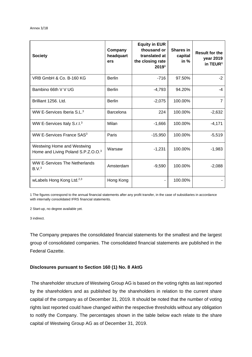| <b>Society</b>                                                               | Company<br>headquart<br>ers | <b>Equity in EUR</b><br>thousand or<br>translated at<br>the closing rate<br>2019 <sup>1</sup> | <b>Shares in</b><br>capital<br>in $%$ | <b>Result for the</b><br>year 2019<br>in TEUR <sup>1</sup> |
|------------------------------------------------------------------------------|-----------------------------|-----------------------------------------------------------------------------------------------|---------------------------------------|------------------------------------------------------------|
| VRB GmbH & Co. B-160 KG                                                      | <b>Berlin</b>               | $-716$                                                                                        | 97.50%                                | $-2$                                                       |
| Bambino 66th V V UG                                                          | <b>Berlin</b>               | $-4,793$                                                                                      | 94.20%                                | -4                                                         |
| Brilliant 1256. Ltd.                                                         | <b>Berlin</b>               | $-2,075$                                                                                      | 100.00%                               | $\overline{7}$                                             |
| WW E-Services Iberia $SL3$                                                   | Barcelona                   | 224                                                                                           | 100.00%                               | $-2,632$                                                   |
| WW E-Services Italy S.r.I. <sup>3</sup>                                      | Milan                       | $-1,666$                                                                                      | 100.00%                               | $-4,171$                                                   |
| WW E-Services France SAS <sup>3</sup>                                        | Paris                       | $-15,950$                                                                                     | 100.00%                               | $-5,519$                                                   |
| Westwing Home and Westwing<br>Home and Living Poland S.P.Z.O.O. <sup>3</sup> | Warsaw                      | $-1,231$                                                                                      | 100.00%                               | $-1,983$                                                   |
| <b>WW E-Services The Netherlands</b><br>B.V. <sup>3</sup>                    | Amsterdam                   | $-9,590$                                                                                      | 100.00%                               | $-2,088$                                                   |
| wLabels Hong Kong Ltd. <sup>2,3</sup>                                        | Hong Kong                   |                                                                                               | 100.00%                               |                                                            |

1 The figures correspond to the annual financial statements after any profit transfer, in the case of subsidiaries in accordance with internally consolidated IFRS financial statements.

2 Start-up, no degree available yet.

3 indirect.

The Company prepares the consolidated financial statements for the smallest and the largest group of consolidated companies. The consolidated financial statements are published in the Federal Gazette.

# **Disclosures pursuant to Section 160 (1) No. 8 AktG**

The shareholder structure of Westwing Group AG is based on the voting rights as last reported by the shareholders and as published by the shareholders in relation to the current share capital of the company as of December 31, 2019. It should be noted that the number of voting rights last reported could have changed within the respective thresholds without any obligation to notify the Company. The percentages shown in the table below each relate to the share capital of Westwing Group AG as of December 31, 2019.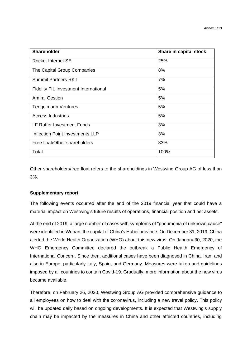| <b>Shareholder</b>                      | Share in capital stock |
|-----------------------------------------|------------------------|
| Rocket Internet SE                      | 25%                    |
| The Capital Group Companies             | 8%                     |
| <b>Summit Partners RKT</b>              | 7%                     |
| Fidelity FIL Investment International   | 5%                     |
| <b>Amiral Gestion</b>                   | 5%                     |
| <b>Tengelmann Ventures</b>              | 5%                     |
| <b>Access Industries</b>                | 5%                     |
| <b>LF Ruffer Investment Funds</b>       | 3%                     |
| <b>Inflection Point Investments LLP</b> | 3%                     |
| Free float/Other shareholders           | 33%                    |
| Total                                   | 100%                   |

Other shareholders/free float refers to the shareholdings in Westwing Group AG of less than 3%.

# **Supplementary report**

The following events occurred after the end of the 2019 financial year that could have a material impact on Westwing's future results of operations, financial position and net assets.

At the end of 2019, a large number of cases with symptoms of "pneumonia of unknown cause" were identified in Wuhan, the capital of China's Hubei province. On December 31, 2019, China alerted the World Health Organization (WHO) about this new virus. On January 30, 2020, the WHO Emergency Committee declared the outbreak a Public Health Emergency of International Concern. Since then, additional cases have been diagnosed in China, Iran, and also in Europe, particularly Italy, Spain, and Germany. Measures were taken and guidelines imposed by all countries to contain Covid-19. Gradually, more information about the new virus became available.

Therefore, on February 26, 2020, Westwing Group AG provided comprehensive guidance to all employees on how to deal with the coronavirus, including a new travel policy. This policy will be updated daily based on ongoing developments. It is expected that Westwing's supply chain may be impacted by the measures in China and other affected countries, including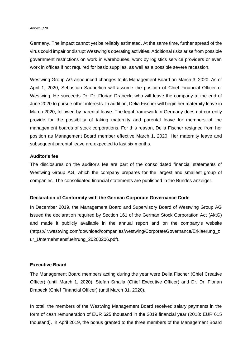#### Annex 3/20

Germany. The impact cannot yet be reliably estimated. At the same time, further spread of the virus could impair or disrupt Westwing's operating activities. Additional risks arise from possible government restrictions on work in warehouses, work by logistics service providers or even work in offices if not required for basic supplies, as well as a possible severe recession.

Westwing Group AG announced changes to its Management Board on March 3, 2020. As of April 1, 2020, Sebastian Säuberlich will assume the position of Chief Financial Officer of Westwing. He succeeds Dr. Dr. Florian Drabeck, who will leave the company at the end of June 2020 to pursue other interests. In addition, Delia Fischer will begin her maternity leave in March 2020, followed by parental leave. The legal framework in Germany does not currently provide for the possibility of taking maternity and parental leave for members of the management boards of stock corporations. For this reason, Delia Fischer resigned from her position as Management Board member effective March 1, 2020. Her maternity leave and subsequent parental leave are expected to last six months.

# **Auditor's fee**

The disclosures on the auditor's fee are part of the consolidated financial statements of Westwing Group AG, which the company prepares for the largest and smallest group of companies. The consolidated financial statements are published in the Bundes anzeiger.

# **Declaration of Conformity with the German Corporate Governance Code**

In December 2019, the Management Board and Supervisory Board of Westwing Group AG issued the declaration required by Section 161 of the German Stock Corporation Act (AktG) and made it publicly available in the annual report and on the company's website (https://ir.westwing.com/download/companies/westwing/CorporateGovernance/Erklaerung\_z ur\_Unternehmensfuehrung\_20200206.pdf).

# **Executive Board**

The Management Board members acting during the year were Delia Fischer (Chief Creative Officer) (until March 1, 2020), Stefan Smalla (Chief Executive Officer) and Dr. Dr. Florian Drabeck (Chief Financial Officer) (until March 31, 2020).

In total, the members of the Westwing Management Board received salary payments in the form of cash remuneration of EUR 625 thousand in the 2019 financial year (2018: EUR 615 thousand). In April 2019, the bonus granted to the three members of the Management Board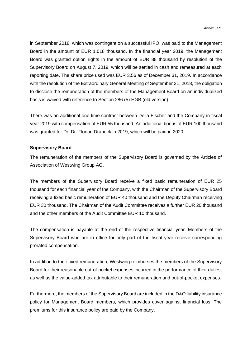in September 2018, which was contingent on a successful IPO, was paid to the Management Board in the amount of EUR 1,018 thousand. In the financial year 2019, the Management Board was granted option rights in the amount of EUR 88 thousand by resolution of the Supervisory Board on August 7, 2019, which will be settled in cash and remeasured at each reporting date. The share price used was EUR 3.56 as of December 31, 2019. In accordance with the resolution of the Extraordinary General Meeting of September 21, 2018, the obligation to disclose the remuneration of the members of the Management Board on an individualized basis is waived with reference to Section 286 (5) HGB (old version).

There was an additional one-time contract between Delia Fischer and the Company in fiscal year 2019 with compensation of EUR 55 thousand. An additional bonus of EUR 100 thousand was granted for Dr. Dr. Florian Drabeck in 2019, which will be paid in 2020.

# **Supervisory Board**

The remuneration of the members of the Supervisory Board is governed by the Articles of Association of Westwing Group AG.

The members of the Supervisory Board receive a fixed basic remuneration of EUR 25 thousand for each financial year of the Company, with the Chairman of the Supervisory Board receiving a fixed basic remuneration of EUR 40 thousand and the Deputy Chairman receiving EUR 30 thousand. The Chairman of the Audit Committee receives a further EUR 20 thousand and the other members of the Audit Committee EUR 10 thousand.

The compensation is payable at the end of the respective financial year. Members of the Supervisory Board who are in office for only part of the fiscal year receive corresponding prorated compensation.

In addition to their fixed remuneration, Westwing reimburses the members of the Supervisory Board for their reasonable out-of-pocket expenses incurred in the performance of their duties, as well as the value-added tax attributable to their remuneration and out-of-pocket expenses.

Furthermore, the members of the Supervisory Board are included in the D&O liability insurance policy for Management Board members, which provides cover against financial loss. The premiums for this insurance policy are paid by the Company.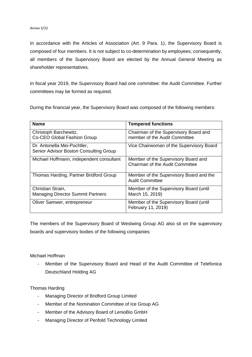#### Annex 3/22

In accordance with the Articles of Association (Art. 9 Para. 1), the Supervisory Board is composed of four members. It is not subject to co-determination by employees; consequently, all members of the Supervisory Board are elected by the Annual General Meeting as shareholder representatives.

In fiscal year 2019, the Supervisory Board had one committee: the Audit Committee. Further committees may be formed as required.

During the financial year, the Supervisory Board was composed of the following members:

| <b>Name</b>                                                           | <b>Tempered functions</b>                                              |
|-----------------------------------------------------------------------|------------------------------------------------------------------------|
| Christoph Barchewitz,<br>Co-CEO Global Fashion Group                  | Chairman of the Supervisory Board and<br>member of the Audit Committee |
| Dr. Antonella Mei-Pochtler,<br>Senior Advisor Boston Consulting Group | Vice Chairwoman of the Supervisory Board                               |
| Michael Hoffmann, independent consultant                              | Member of the Supervisory Board and<br>Chairman of the Audit Committee |
| Thomas Harding, Partner Bridford Group                                | Member of the Supervisory Board and the<br><b>Audit Committee</b>      |
| Christian Strain,                                                     | Member of the Supervisory Board (until                                 |
| <b>Managing Director Summit Partners</b>                              | March 15, 2019)                                                        |
| Oliver Samwer, entrepreneur                                           | Member of the Supervisory Board (until<br>February 11, 2019)           |

The members of the Supervisory Board of Westwing Group AG also sit on the supervisory boards and supervisory bodies of the following companies:

# Michael Hoffman

- Member of the Supervisory Board and Head of the Audit Committee of Telefonica Deutschland Holding AG

# Thomas Harding

- Managing Director of Bridford Group Limited
- Member of the Nomination Committee of Ice Group AG
- Member of the Advisory Board of LenioBio GmbH
- Managing Director of Penfold Technology Limited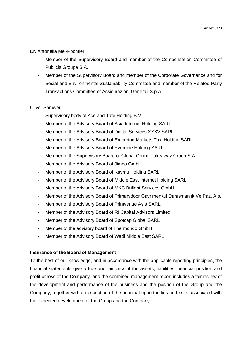Dr. Antonella Mei-Pochtler

- Member of the Supervisory Board and member of the Compensation Committee of Publicis Groupe S.A.
- Member of the Supervisory Board and member of the Corporate Governance and for Social and Environmental Sustainability Committee and member of the Related Party Transactions Committee of Assicurazioni Generali S.p.A.

# Oliver Samwer

- Supervisory body of Ace and Tate Holding B.V.
- Member of the Advisory Board of Asia Internet Holding SARL
- Member of the Advisory Board of Digital Services XXXV SARL
- Member of the Advisory Board of Emerging Markets Taxi Holding SARL
- Member of the Advisory Board of Everdine Holding SARL
- Member of the Supervisory Board of Global Online Takeaway Group S.A.
- Member of the Advisory Board of Jimdo GmbH
- Member of the Advisory Board of Kaymu Holding SARL
- Member of the Advisory Board of Middle East Internet Holding SARL
- Member of the Advisory Board of MKC Brillant Services GmbH
- Member of the Advisory Board of Primarydoor Gayrimenkul Danışmanlık Ve Paz. A.ş.
- Member of the Advisory Board of Printvenue Asia SARL
- Member of the Advisory Board of RI Capital Advisors Limited
- Member of the Advisory Board of Spotcap Global SARL
- Member of the advisory board of Thermondo GmbH
- Member of the Advisory Board of Wadi Middle East SARL

# **Insurance of the Board of Management**

To the best of our knowledge, and in accordance with the applicable reporting principles, the financial statements give a true and fair view of the assets, liabilities, financial position and profit or loss of the Company, and the combined management report includes a fair review of the development and performance of the business and the position of the Group and the Company, together with a description of the principal opportunities and risks associated with the expected development of the Group and the Company.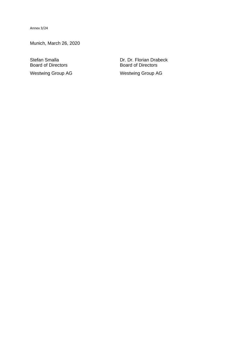Annex 3/24

Munich, March 26, 2020

**Board of Directors** 

Stefan Smalla<br>
Board of Directors<br>
Board of Directors<br>
Board of Directors Westwing Group AG Westwing Group AG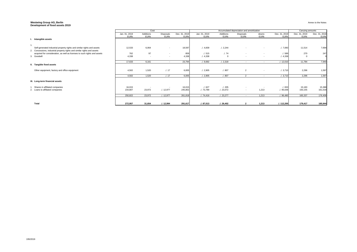# **Westwing Group AG, Berlin Development of fixed assets 2019**

|                                                                                                                                                     |                              | Cost                     |                          |                              | Accumulated depreciation and amoirtization |                          |                          |                          |                              | Carrying amounts             |                              |
|-----------------------------------------------------------------------------------------------------------------------------------------------------|------------------------------|--------------------------|--------------------------|------------------------------|--------------------------------------------|--------------------------|--------------------------|--------------------------|------------------------------|------------------------------|------------------------------|
|                                                                                                                                                     | Jan. 01, 2019<br><b>EURK</b> | Additions<br><b>EURk</b> | Disposals<br><b>EURk</b> | Dec. 31, 2019<br><b>EURk</b> | Jan. 01, 2019<br><b>EURK</b>               | Additions<br><b>EURK</b> | Disposals<br><b>EURK</b> | downs<br><b>EURk</b>     | Dec. 31, 2019<br><b>EURK</b> | Dec. 31, 2019<br><b>EURk</b> | Dec. 31, 2018<br><b>EURK</b> |
| I. Intangible assets                                                                                                                                |                              |                          |                          |                              |                                            |                          |                          |                          |                              |                              |                              |
|                                                                                                                                                     |                              |                          |                          |                              |                                            |                          |                          |                          |                              |                              |                              |
| Self-generated industrial property rights and similar rights and assets<br>2. Concessions, industrial property rights and similar rights and assets | 12,533                       | 6,064                    | $\sim$                   | 18,597                       | .4,839                                     | 1.2,244                  |                          | $\sim$                   | .7,083                       | 11,514                       | 7,694                        |
| acquired for consideration, as well as licenses to such rights and assets                                                                           | 762                          | 97                       | $\sim$                   | 859                          | .1.515                                     | .1.74                    | $\sim$                   | $\sim$ 100 $\mu$         | . / 589                      | 270                          | 247                          |
| 3. Goodwill                                                                                                                                         | 4,338                        | $\sim$                   | $\sim$                   | 4,338                        | .4,338                                     | $\Omega$                 | $\sim$                   | $\sim$                   | .4,338                       | $\overline{0}$               |                              |
|                                                                                                                                                     | 17,633                       | 6,161                    | $\sim$ $-$               | 23,794                       | . / 9,692                                  | 1.2,318                  | $\sim$                   | $\sim$ $-$               | . / 12,010                   | 11,784                       | 7,940                        |
| II. Tangible fixed assets                                                                                                                           |                              |                          |                          |                              |                                            |                          |                          |                          |                              |                              |                              |
| Other equipment, factory and office equipment                                                                                                       | 4,502                        | 1,520                    | .17                      | 6,005                        | .1.2,905                                   | .1.807                   | $\overline{2}$           | $\overline{\phantom{a}}$ | .1.3,710                     | 2,296                        | 1,597                        |
|                                                                                                                                                     | 4,502                        | 1,520                    | .17                      | 6,005                        | .1.2,905                                   | . / 807                  | 2                        | $\sim$ $-$               | .1.3,710                     | 2,296                        | 1,597                        |
| III. Long-term financial assets                                                                                                                     |                              |                          |                          |                              |                                            |                          |                          |                          |                              |                              |                              |
| Shares in affiliated companies                                                                                                                      | 16,015                       |                          | $\sim$                   | 16,015                       | .1627                                      | . / 205                  | $\sim$                   |                          | .1.833                       | 15,183                       | 15,388                       |
| 2. Loans to affiliated companies                                                                                                                    | 234,807                      | 23,972                   | .12,977                  | 245,802                      | ./. 73,789                                 | .1.23,072                | $\sim$                   | 1,213                    | . / 95,648                   | 150,155                      | 161,018                      |
|                                                                                                                                                     | 250,822                      | 23,972                   | .12,977                  | 261,818                      | .74,416                                    | .1.23,277                | $\sim$                   | 1,213                    | . / 96,480                   | 165,337                      | 176,406                      |
| <b>Total</b>                                                                                                                                        | 272,957                      | 31,654                   | .1.12,994                | 291,617                      | J. 87,013                                  | .1.26,402                | $\overline{2}$           | 1,213                    | .112,200                     | 179,417                      | 185,944                      |

Annex to the Notes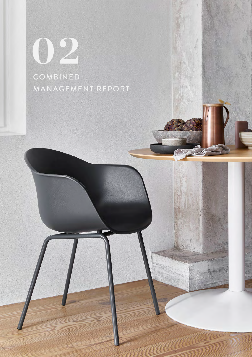**02** COMBINED MANAGEMENT REPORT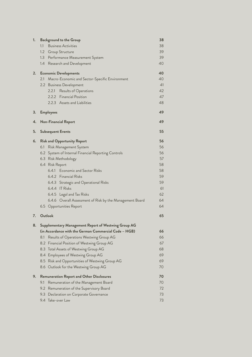| 1. | <b>Background to the Group</b>                                                           | 38       |
|----|------------------------------------------------------------------------------------------|----------|
|    | 1.1<br><b>Business Activities</b>                                                        | 38       |
|    | 1.2 Group Structure                                                                      | 39       |
|    | 1.3 Performance Measurement System                                                       | 39       |
|    | 1.4 Research and Development                                                             | 40       |
| 2. | <b>Economic Developments</b>                                                             | 40       |
|    | 2.1<br>Macro-Economic and Sector-Specific Environment                                    | 40       |
|    | 2.2 Business Development                                                                 | 41       |
|    | 2.2.1<br>Results of Operations                                                           | 42       |
|    | 2.2.2 Financial Position                                                                 | 47       |
|    | 2.2.3 Assets and Liabilities                                                             | 48       |
| 3. | <b>Employees</b>                                                                         | 49       |
| 4. | <b>Non-Financial Report</b>                                                              | 49       |
| 5. | <b>Subsequent Events</b>                                                                 | 55       |
| 6. | <b>Risk and Opportunity Report</b>                                                       | 56       |
|    | Risk Management System<br>6.1                                                            | 56       |
|    | 6.2 System of Internal Financial Reporting Controls                                      | 56       |
|    | 6.3 Risk Methodology                                                                     | 57       |
|    | 6.4 Risk Report                                                                          | 58       |
|    | 6.4.1 Economic and Sector Risks                                                          | 58       |
|    | 6.4.2 Financial Risks                                                                    | 59       |
|    | 6.4.3 Strategic and Operational Risks                                                    | 59       |
|    | $6.4.4$ IT Risks                                                                         | 61       |
|    | 6.4.5 Legal and Tax Risks                                                                | 62       |
|    | 6.4.6 Overall Assessment of Risk by the Management Board                                 | 64       |
|    | 6.5 Opportunities Report                                                                 | 64       |
| 7. | Outlook                                                                                  | 65       |
| 8. | Supplementary Management Report of Westwing Group AG                                     |          |
|    | (in Accordance with the German Commercial Code - HGB)                                    | 66       |
|    | Results of Operations Westwing Group AG<br>8.1                                           | 66       |
|    | Financial Position of Westwing Group AG<br>8.2                                           | 67<br>68 |
|    | 8.3<br>Total Assets of Westwing Group AG                                                 | 69       |
|    | 8.4 Employees of Westwing Group AG<br>Risk and Opportunities of Westwing Group AG<br>8.5 | 69       |
|    | Outlook for the Westwing Group AG<br>8.6                                                 | 70       |
| 9. | <b>Remuneration Report and Other Disclosures</b>                                         | 70       |
|    | 9.1<br>Remuneration of the Management Board                                              | 70       |
|    | 9.2<br>Remuneration of the Supervisory Board                                             | 72       |
|    | 9.3<br>Declaration on Corporate Governance                                               | 73       |
|    | 9.4 Take-over Law                                                                        | 73       |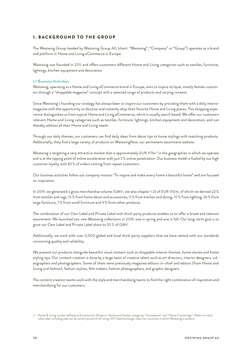# 1. BACKGROUND TO THE GROUP

The Westwing Group headed by Westwing Group AG (short: "Westwing", "Company" or "Group") operates as a brand and platform in Home and Living eCommerce in Europe.

Westwing was founded in 2011 and offers customers different Home and Living categories such as textiles, furniture, lightings, kitchen equipment and decoration.

## **1.1 Business Activities**

Westwing, operating as a Home and Living eCommerce brand in Europe, aims to inspire its loyal, mostly female customers through a "shoppable magazine" concept with a selected range of products and varying content.

Since Westwing's founding our strategy has always been to inspire our customers by providing them with a daily interior magazine with the opportunity to discover and instantly shop their favorite Home and Living pieces. This shopping experience distinguishes us from typical Home and Living eCommerce, which is usually search based. We offer our customers relevant Home and Living categories such as textiles, furniture, lightings, kitchen equipment and decoration, and can thereby address all their Home and Living needs.

Through our daily themes, our customers can find daily ideas from décor tips to home stylings with matching products. Additionally, they find a large variety of products on WestwingNow, our permanent assortment website.

Westwing is targeting a very attractive market that is approximately EUR 117bn<sup>3</sup> in the geographies in which we operate and is at the tipping point of online acceleration with just 5 % online penetration. Our business model is fueled by our high customer loyalty with 82 % of orders coming from repeat customers.

Our business activities follow our company mission "To inspire and make every home a beautiful home" and are focused on inspiration.

In 2019, we generated a gross merchandise volume (GMV, see also chapter 1.3) of EUR 310m, of which we derived 22 % from textiles and rugs, 15 % from home décor and accessories, 11 % from kitchen and dining, 10 % from lighting, 26 % from large furniture, 7 % from small furniture and 9 % from other products.

The combination of our Own Label and Private Label with third-party products enables us to offer a broad and relevant assortment. We launched two new Westwing collections in 2019, one in spring and one in fall. Our long-term goal is to grow our Own Label and Private Label share to 50 % of GMV.

Additionally, we work with over 5,000 global and local third-party suppliers that we have vetted with our standards concerning quality and reliability.

We present our products alongside beautiful visual content such as shoppable interior themes, home stories and home styling tips. Our content creation is done by a large team of creative talent such as art directors, interior designers, videographers and photographers. Some of them were previously magazine editors-in-chief and editors (from Home and Living and fashion), fashion stylists, film makers, fashion photographers, and graphic designers.

The content creation teams work with the style and merchandizing teams to find the right combination of inspiration and merchandizing for our customers.

<sup>3</sup> Home & Living market defined as Euromonitor Passport: Home and Garden categories "Homewares" and "Home Furnishings". Refers to retail value sales including sales tax at current prices (EUR using 2017 fixed exchange rates) for countries in which Westwing is present.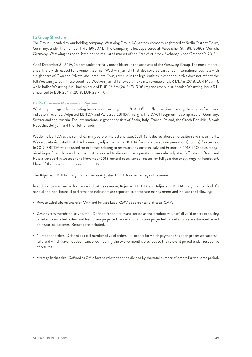## **1.2 Group Structure**

The Group is headed by our holding company, Westwing Group AG, a stock company registered at Berlin District Court, Germany, under the number HRB 199007 B. The Company is headquartered at Moosacher Str. 88, 80809 Munich, Germany. Westwing has been listed on the regulated market of the Frankfurt Stock Exchange since October 9, 2018.

As of December 31, 2019, 26 companies are fully consolidated in the accounts of the Westwing Group. The most important affiliate with respect to revenue is German Westwing GmbH that also covers a part of our international business with a high share of Own and Private label products. Thus, revenue in the legal entities in other countries does not reflect the full Westwing sales in those countries. Westwing GmbH showed third-party revenue of EUR 171.7m (2018: EUR 140.7m), while Italian Westwing S.r.l. had revenue of EUR 26.6m (2018: EUR 36.1m) and revenue at Spanish Westwing Iberia S.L. amounted to EUR 25.1m (2018: EUR 28.7m).

## **1.3 Performance Measurement System**

Westwing manages the operating business via two segments "DACH" and "International" using the key performance indicators revenue, Adjusted EBITDA and Adjusted EBITDA margin. The DACH segment is comprised of Germany, Switzerland and Austria. The International segment consists of Spain, Italy, France, Poland, the Czech Republic, Slovak Republic, Belgium and the Netherlands.

We define EBITDA as the sum of earnings before interest and taxes (EBIT) and depreciation, amortization and impairments. We calculate Adjusted EBITDA by making adjustments to EBITDA for share based compensation (income) / expenses. In 2019, EBITDA was adjusted for expenses relating to restructuring costs in Italy and France. In 2018, IPO costs recognized in profit and loss and central costs allocated to discontinued operations were also adjusted (affiliates in Brazil and Russia were sold in October and November 2018, central costs were allocated for full year due to e.g. ongoing handover). None of these costs were incurred in 2019.

The Adjusted EBITDA margin is defined as Adjusted EBITDA in percentage of revenue.

In addition to our key performance indicators revenue, Adjusted EBITDA and Adjusted EBITDA margin, other both financial and non-financial performance indicators are reported to corporate management and include the following:

- Private Label Share: Share of Own and Private Label GMV as percentage of total GMV.
- GMV (gross merchandise volume): Defined for the relevant period as the product value of all valid orders excluding failed and cancelled orders and less future projected cancellations. Future projected cancellations are estimated based on historical patterns. Returns are included.
- Number of orders: Defined as total number of valid orders (i.e. orders for which payment has been processed successfully and which have not been cancelled), during the twelve months previous to the relevant period end, irrespective of returns.
- Average basket size: Defined as GMV for the relevant period divided by the total number of orders for the same period.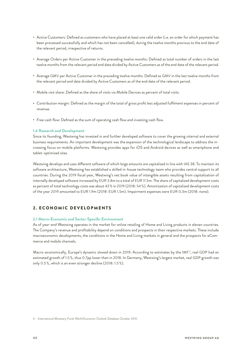- Active Customers: Defined as customers who have placed at least one valid order (i.e. an order for which payment has been processed successfully and which has not been cancelled), during the twelve months previous to the end date of the relevant period, irrespective of returns.
- Average Orders per Active Customer in the preceding twelve months: Defined as total number of orders in the last twelve months from the relevant period end date divided by Active Customers as of the end date of the relevant period.
- Average GMV per Active Customer in the preceding twelve months: Defined as GMV in the last twelve months from the relevant period end date divided by Active Customers as of the end date of the relevant period.
- Mobile visit share: Defined as the share of visits via Mobile Devices as percent of total visits.
- Contribution margin: Defined as the margin of the total of gross profit less adjusted fulfilment expenses in percent of revenue.
- Free cash flow: Defined as the sum of operating cash flow and investing cash flow.

## **1.4 Research and Development**

Since its founding, Westwing has invested in and further developed software to cover the growing internal and external business requirements. An important development was the expansion of the technological landscape to address the increasing focus on mobile platforms. Westwing provides apps for iOS and Android devices as well as smartphone and tablet-optimized sites.

Westwing develops and uses different software of which large amounts are capitalized in line with IAS 38. To maintain its software architecture, Westwing has established a skilled in-house technology team who provides central support to all countries. During the 2019 fiscal year, Westwing's net book value of intangible assets resulting from capitalization of internally developed software increased by EUR 3.8m to a total of EUR 11.5m. The share of capitalized development costs as percent of total technology costs was about 43 % in 2019 (2018: 54 %). Amortization of capitalized development costs of the year 2019 amounted to EUR 1.9m (2018: EUR 1.5m). Impairment expenses were EUR 0.3m (2018: none).

# 2. ECONOMIC DEVELOPMENTS

## **2.1 Macro-Economic and Sector-Specific Environment**

As of year-end Westwing operates in the market for online retailing of Home and Living products in eleven countries. The Company's revenue and profitability depend on conditions and prospects in their respective markets. These include macroeconomic developments, the conditions in the Home and Living markets in general and the prospects for eCommerce and mobile channels.

Macro-economically, Europe's dynamic slowed down in 2019: According to estimates by the IMF<sup>4</sup>, real GDP had an estimated growth of 1.5 %, thus 0.7pp lower than in 2018. In Germany, Westwing's largest market, real GDP growth was only 0.5 %, which is an even stronger decline (2018: 1.5 %).

4 International Monetary Fund: World Economic Outlook Database October 2019.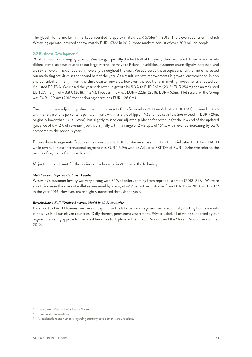The global Home and Living market amounted to approximately EUR 575bn<sup>5</sup> in 2018. The eleven countries in which Westwing operates covered approximately EUR 117bn<sup>6</sup> in 2017; those markets consist of over 300 million people.

## **2.2 Business Development <sup>7</sup>**

2019 has been a challenging year for Westwing, especially the first half of the year, where we faced delays as well as additional ramp-up costs related to our large warehouse move to Poland. In addition, customer churn slightly increased, and we saw an overall lack of operating leverage throughout the year. We addressed these topics and furthermore increased our marketing activities in the second half of the year. As a result, we saw improvements in growth, customer acquisition and contribution margin from the third quarter onwards, however, the additional marketing investments affected our Adjusted EBITDA. We closed the year with revenue growth by 5.3 % to EUR 267m (2018: EUR 254m) and an Adjusted EBITDA margin of –3.8 % (2018: + 1.2 %). Free cash flow was EUR –22.1m (2018: EUR –5.5m). Net result for the Group was EUR –39.0m (2018 for continuing operations EUR –26.0m).

Thus, we met our adjusted guidance to capital markets from September 2019 on Adjusted EBITDA (at around –3.5 % within a range of one percentage point, originally within a range of 1pp of 1%) and free cash flow (not exceeding EUR – 29m, originally lower than EUR –25m), but slightly missed our adjusted guidance for revenue (at the low end of the updated guidance of 6 –12 % of revenue growth, originally within a range of 2 –3 ppts of 16 %), with revenue increasing by 5.3 % compared to the previous year.

Broken down to segments Group results correspond to EUR 151.4m revenue and EUR –0.5m Adjusted EBITDA in DACH while revenue in our International segment was EUR 115.9m with an Adjusted EBITDA of EUR –9.4m (we refer to the results of segments for more details).

Major themes relevant for the business development in 2019 were the following:

#### *Maintain and Improve Customer Loyalty*

Westwing's customer loyalty was very strong with 82 % of orders coming from repeat customers (2018: 81 %). We were able to increase the share of wallet as measured by average GMV per active customer from EUR 312 in 2018 to EUR 327 in the year 2019. However, churn slightly increased through the year.

#### *Establishing a Full Working Business Model in all 11 countries*

Based on the DACH business we use as blueprint for the International segment we have our fully working business model now live in all our eleven countries: Daily themes, permanent assortment, Private Label, all of which supported by our organic marketing approach. The latest launches took place in the Czech Republic and the Slovak Republic in summer 2019.

<sup>5</sup> Imarc; Press Release Home Decor Market.

<sup>6</sup> Euromonitor International.

<sup>7</sup> All explanations and numbers regarding quarterly developments are unaudited.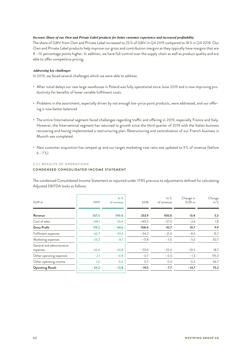## *Increase Share of our Own and Private Label products for better customer experience and increased profitability*

The share of GMV from Own and Private Label increased to 25 % of GMV in Q4 2019 compared to 18 % in Q4 2018. Our Own and Private Label products help improve our gross and contribution margins as they typically have margins that are 8 –10 percentage points higher. In addition, we have full control over the supply chain as well as product quality and are able to offer competitive pricing.

## *Addressing key challenges*

In 2019, we faced several challenges which we were able to address:

- After initial delays our new large warehouse in Poland was fully operational since June 2019 and is now improving productivity for benefits of lower variable fulfilment costs.
- Problems in the assortment, especially driven by not enough low-price point products, were addressed, and our offering is now better balanced
- The entire International segment faced challenges regarding traffic and offering in 2019, especially France and Italy. However, the International segment has returned to growth since the third quarter of 2019 with the Italian business recovering and having implemented a restructuring plan. Restructuring and centralization of our French business in Munich was completed.
- New customer acquisition has ramped up and our target marketing cost ratio was updated to 9 % of revenue (before  $6 - 7\%$

## 2.2.1 RESULTS OF OPERATIONS

# **CONDENSED CONSOLIDATED INCOME STATEMENT**

The condensed Consolidated Income Statement as reported under IFRS previous to adjustments defined for calculating Adjusted EBITDA looks as follows:

| EUR m                                  | 2019     | $\ln \frac{9}{6}$<br>of revenue | 2018     | ln %<br>of revenue | Change in<br>EUR <sub>m</sub> | Change<br>in $%$ |
|----------------------------------------|----------|---------------------------------|----------|--------------------|-------------------------------|------------------|
| Revenue                                | 267.3    | 100.0                           | 253.9    | 100.0              | 13.4                          | 5.3              |
| Cost of sales                          | $-148.1$ | $-55.4$                         | $-145.5$ | $-57.3$            | $-2.6$                        | 1.8              |
| <b>Gross Profit</b>                    | 119.2    | 44.6                            | 108.4    | 42.7               | 10.7                          | 9.9              |
| Fulfilment expenses                    | $-62.7$  | $-23.4$                         | $-54.2$  | $-21.3$            | $-8.5$                        | 15.7             |
| Marketing expenses                     | $-23.2$  | $-8.7$                          | $-17.8$  | $-7.0$             | $-5.5$                        | 30.7             |
| General and administrative<br>expenses | $-66.4$  | $-24.8$                         | $-55.9$  | $-22.0$            | $-10.5$                       | 18.7             |
| Other operating expenses               | $-2.1$   | $-0.8$                          | $-0.7$   | $-0.3$             | $-1.3$                        | 175.3            |
| Other operating income                 | 1.0      | 0.4                             | 0.7      | 0.3                | 0.3                           | 46.7             |
| <b>Operating Result</b>                | $-34.2$  | $-12.8$                         | $-19.5$  | $-7.7$             | $-14.7$                       | 75.2             |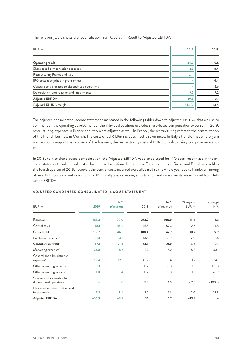| EUR <sub>m</sub>                                   | 2019    | 2018                     |
|----------------------------------------------------|---------|--------------------------|
|                                                    |         |                          |
| <b>Operating result</b>                            | $-34.2$ | $-19.5$                  |
| Share based compensation expenses                  | 12.3    | 8.4                      |
| Restructuring France and Italy                     | 2.4     | $\overline{\phantom{0}}$ |
| IPO costs recognized in profit or loss             |         | 4.4                      |
| Central costs allocated to discontinued operations |         | 2.6                      |
| Depreciation, amortization and impairments         | 9.2     | 7.2                      |
| <b>Adjusted EBITDA</b>                             | $-10.3$ | 3.1                      |
| Adjusted EBITDA margin                             | $-3.8%$ | 1.2%                     |
|                                                    |         |                          |

The following table shows the reconciliation from Operating Result to Adjusted EBITDA:

The adjusted consolidated income statement (as stated in the following table) down to adjusted EBITDA that we use to comment on the operating development of the individual positions excludes share-based compensation expenses. In 2019, restructuring expenses in France and Italy were adjusted as well. In France, the restructuring refers to the centralization of the French business in Munich. The costs of EUR 1.9m includes mostly severances. In Italy a transformation program was set-up to support the recovery of the business, the restructuring costs of EUR 0.5m also mainly comprise severances.

In 2018, next to share-based compensation, the Adjusted EBITDA was also adjusted for IPO costs recognized in the income statement, and central costs allocated to discontinued operations. The operations in Russia and Brazil were sold in the fourth quarter of 2018, however, the central costs incurred were allocated to the whole year due to handover, among others. Both costs did not re-occur in 2019. Finally, depreciation, amortization and impairments are excluded from Adjusted EBITDA.

| EUR <sub>m</sub>                                      | 2019     | $\ln \frac{9}{6}$<br>of revenue | 2018     | ln %<br>of revenue | Change in<br>EUR <sub>m</sub> | Change<br>in $%$ |
|-------------------------------------------------------|----------|---------------------------------|----------|--------------------|-------------------------------|------------------|
| Revenue                                               | 267.3    | 100.0                           | 253.9    | 100.0              | 13.4                          | 5.3              |
| Cost of sales                                         | $-148.1$ | $-55.4$                         | $-145.5$ | $-57.3$            | $-2.6$                        | 1.8              |
| <b>Gross Profit</b>                                   | 119.2    | 44.6                            | 108.4    | 42.7               | 10.7                          | 9.9              |
| Fulfilment expenses*                                  | $-62.1$  | $-23.2$                         | $-55.1$  | $-21.7$            | $-7.0$                        | 12.6             |
| <b>Contribution Profit</b>                            | 57.1     | 21.4                            | 53.3     | 21.0               | 3.8                           | 7.1              |
| Marketing expenses*                                   | $-23.0$  | $-8.6$                          | $-17.7$  | $-7.0$             | $-5.3$                        | 30.1             |
| General and administrative<br>expenses*               | $-52.4$  | $-19.6$                         | $-42.2$  | $-16.6$            | $-10.2$                       | 24.1             |
| Other operating expenses                              | $-2.1$   | $-0.8$                          | $-0.7$   | $-0.3$             | $-1.3$                        | 175.3            |
| Other operating income                                | 1.0      | 0.4                             | 0.7      | 0.3                | 0.3                           | 46.7             |
| Central costs allocated to<br>discontinued operations |          | 0.0                             | 2.6      | 1.0                | $-2.6$                        | $-100.0$         |
| Depreciation, amortization and<br>impairments         | 9.2      | 3.4                             | 7.2      | 2.8                | 2.0                           | 27.3             |
| <b>Adjusted EBITDA</b>                                | $-10.3$  | $-3.8$                          | 3.1      | 1.2                | $-13.3$                       |                  |

#### **ADJUSTED CONDENSED CONSOLIDATED INCOME STATEMENT**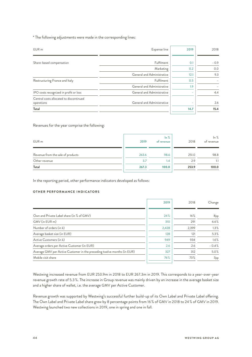\* The following adjustments were made in the corresponding lines:

| EUR <sub>m</sub>                        | Expense line               | 2019 | 2018   |
|-----------------------------------------|----------------------------|------|--------|
|                                         |                            |      |        |
|                                         |                            |      |        |
| Share-based compensation                | Fulfilment                 | 0.1  | $-0.9$ |
|                                         | Marketing                  | 0.2  | 0.0    |
|                                         | General and Administrative | 12.1 | 9.3    |
| Restructuring France and Italy          | Fulfilment                 | 0.5  |        |
|                                         | General and Administrative | 1.9  |        |
| IPO costs recognized in profit or loss  | General and Administrative | ۰    | 4.4    |
| Central costs allocated to discontinued |                            |      |        |
| operations                              | General and Administrative | -    | 2.6    |
| Total                                   |                            | 14.7 | 15.4   |

Revenues for the year comprise the following:

| EUR <sub>m</sub>                  | 2019  | $\ln \frac{9}{6}$<br>of revenue | 2018  | $\ln \frac{9}{6}$<br>of revenue |
|-----------------------------------|-------|---------------------------------|-------|---------------------------------|
| Revenue from the sale of products | 263.6 | 98.6                            | 251.0 | 98.8                            |
| Other revenue                     | 3.7   | 1.4                             | 2.9   | 1.1                             |
| Total                             | 267.3 | 100.0                           | 253.9 | 100.0                           |

In the reporting period, other performance indicators developed as follows:

## **OTHER PERFORMANCE INDICATORS**

|                                                                         | 2019  | 2018  | Change  |
|-------------------------------------------------------------------------|-------|-------|---------|
|                                                                         |       |       |         |
| Own and Private Label share (in % of GMV)                               | 24%   | 16%   | 8pp     |
| GMV (in EUR m)                                                          | 310   | 291   | 6.6%    |
| Number of orders (in k)                                                 | 2,428 | 2,399 | $1.3\%$ |
| Average basket size (in EUR)                                            | 128   | 121   | 5.3%    |
| Active Customers (in k)                                                 | 949   | 934   | 1.6%    |
| Average orders per Active Customer (in EUR)                             | 2.6   | 2.6   | $-0.4%$ |
| Average GMV per Active Customer in the preceding twelve months (in EUR) | 327   | 312   | 5.0%    |
| Mobile visit share                                                      | 76%   | 73%   | 3pp     |

Westwing increased revenue from EUR 253.9m in 2018 to EUR 267.3m in 2019. This corresponds to a year-over-year revenue growth rate of 5.3 %. The increase in Group revenue was mainly driven by an increase in the average basket size and a higher share of wallet, i.e. the average GMV per Active Customer.

Revenue growth was supported by Westwing's successful further build-up of its Own Label and Private Label offering. The Own Label and Private Label share grew by 8 percentage points from 16 % of GMV in 2018 to 24 % of GMV in 2019. Westwing launched two new collections in 2019, one in spring and one in fall.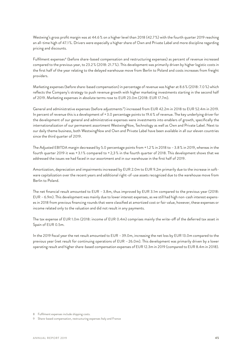Westwing's gross profit margin was at 44.6 % on a higher level than 2018 (42.7 %) with the fourth quarter 2019 reaching an all-time high of 47.1 %. Drivers were especially a higher share of Own and Private Label and more discipline regarding pricing and discounts.

Fulfilment expenses<sup>8</sup> (before share-based compensation and restructuring expenses) as percent of revenue increased compared to the previous year, to 23.2 % (2018: 21.7 %). This development was primarily driven by higher logistic costs in the first half of the year relating to the delayed warehouse move from Berlin to Poland and costs increases from freight providers.

Marketing expenses (before share-based compensation) in percentage of revenue was higher at 8.6 % (2018: 7.0 %) which reflects the Company's strategy to push revenue growth with higher marketing investments starting in the second half of 2019. Marketing expenses in absolute terms rose to EUR 23.0m (2018: EUR 17.7m).

General and administrative expenses (before adjustments <sup>9</sup> ) increased from EUR 42.2m in 2018 to EUR 52.4m in 2019. In percent of revenue this is a development of + 3.0 percentage points to 19.6 % of revenue. The key underlying driver for the development of our general and administrative expenses were investments into enablers of growth, specifically the internationalization of our permanent assortment WestwingNow, Technology as well as Own and Private Label. Next to our daily theme business, both WestwingNow and Own and Private Label have been available in all our eleven countries since the third quarter of 2019.

The Adjusted EBITDA margin decreased by 5.0 percentage points from + 1.2 % in 2018 to –3.8 % in 2019, whereas in the fourth quarter 2019 it was + 3.1 % compared to + 2,3 % in the fourth quarter of 2018. This development shows that we addressed the issues we had faced in our assortment and in our warehouse in the first half of 2019.

Amortization, depreciation and impairments increased by EUR 2.0m to EUR 9.2m primarily due to the increase in software capitalization over the recent years and additional right-of-use assets recognized due to the warehouse move from Berlin to Poland.

The net financial result amounted to EUR –3.8m, thus improved by EUR 3.1m compared to the previous year (2018: EUR –6.9m). This development was mainly due to lower interest expenses, as we still had high non-cash interest expenses in 2018 from previous financing rounds that were classified at amortized cost or fair value, however, these expenses or income related only to the valuation and did not result in any payments.

The tax expense of EUR 1.0m (2018: income of EUR 0.4m) comprises mainly the write-off of the deferred tax asset in Spain of EUR 0.5m.

In the 2019 fiscal year the net result amounted to EUR –39.0m, increasing the net loss by EUR 13.0m compared to the previous year (net result for continuing operations of EUR –26.0m). This development was primarily driven by a lower operating result and higher share-based compensation expenses of EUR 12.3m in 2019 (compared to EUR 8.4m in 2018).

<sup>8</sup> Fulfilment expenses include shipping costs.

<sup>9</sup> Share-based compensation, restructuring expenses Italy and France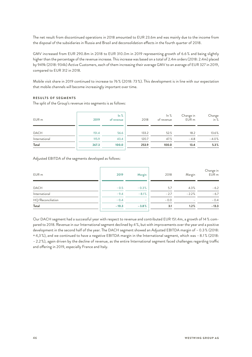The net result from discontinued operations in 2018 amounted to EUR 23.6m and was mainly due to the income from the disposal of the subsidiaries in Russia and Brazil and deconsolidation effects in the fourth quarter of 2018.

GMV increased from EUR 290.8m in 2018 to EUR 310.0m in 2019 representing growth of 6.6 % and being slightly higher than the percentage of the revenue increase. This increase was based on a total of 2.4m orders (2018: 2.4m) placed by 949k (2018: 934k) Active Customers, each of them increasing their average GMV to an average of EUR 327 in 2019, compared to EUR 312 in 2018.

Mobile visit share in 2019 continued to increase to 76 % (2018: 73 %). This development is in line with our expectation that mobile channels will become increasingly important over time.

## **RESULTS OF SEGMENTS**

The split of the Group's revenue into segments is as follows:

| EUR m         | 2019  | $\ln \frac{9}{6}$<br>of revenue | 2018  | ln %<br>of revenue | Change in<br>EUR <sub>m</sub> | Change<br>% in |
|---------------|-------|---------------------------------|-------|--------------------|-------------------------------|----------------|
| <b>DACH</b>   | 151.4 | 56.6                            | 133.2 | 52.5               | 18.2                          | 13.6%          |
| International | 115.9 | 43.4                            | 120.7 | 47.5               | $-4.8$                        | $-4.0%$        |
| Total         | 267.3 | 100.0                           | 253.9 | 100.0              | 13.4                          | 5.3%           |

## Adjusted EBITDA of the segments developed as follows:

| EUR m             | 2019    | Margin                   | 2018   | Margin          | Change in<br>EUR <sub>m</sub> |
|-------------------|---------|--------------------------|--------|-----------------|-------------------------------|
| <b>DACH</b>       | $-0.5$  | $-0.3%$                  | 5.7    | 4.3%            | $-6.2$                        |
| International     | $-9.4$  | $-8.1%$                  | $-2.7$ | $-2.2%$         | $-6.7$                        |
| HQ/Reconciliation | $-0.4$  | $\overline{\phantom{a}}$ | $-0.0$ | $\qquad \qquad$ | $-0.4$                        |
| Total             | $-10.3$ | $-3.8%$                  | 3.1    | 1.2%            | $-13.3$                       |

Our DACH segment had a successful year with respect to revenue and contributed EUR 151.4m, a growth of 14 % compared to 2018. Revenue in our International segment declined by 4 %, but with improvements over the year and a positive development in the second half of the year. The DACH segment showed an Adjusted EBITDA margin of –0.3 % (2018: + 4,3 %), and we continued to have a negative EBITDA margin in the International segment, which was –8.1 % (2018: –2.2 %), again driven by the decline of revenue, as the entire International segment faced challenges regarding traffic and offering in 2019, especially France and Italy.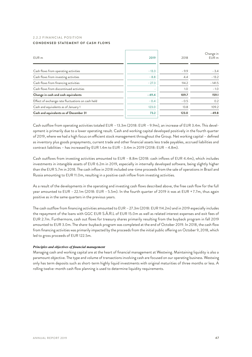## 2.2.2 FINANCIAL POSITION **CONDENSED STATEMENT OF CASH FLOWS**

| EUR <sub>m</sub>                                  | 2019    | 2018   | Change in<br>EUR m |
|---------------------------------------------------|---------|--------|--------------------|
| Cash flows from operating activities              | $-13.3$ | $-9.9$ | $-3.4$             |
| Cash flows from investing activities              | $-8.8$  | 4.4    | $-13.2$            |
| Cash flows from financing activities              | $-27.3$ | 114.2  | $-141.5$           |
| Cash flows from discontinued activities           | ×.      | 1.0    | $-1.0$             |
| Change in cash and cash equivalents               | $-49.4$ | 109.7  | 159.1              |
| Effect of exchange rate fluctuations on cash held | $-0.4$  | $-0.5$ | 0.2                |
| Cash and equivalents as of January 1              | 123.0   | 13.8   | 109.2              |
| Cash and equivalents as of December 31            | 73.2    | 123.0  | $-49.8$            |

Cash outflow from operating activities totaled EUR –13.3m (2018: EUR –9.9m), an increase of EUR 3.4m. This development is primarily due to a lower operating result. Cash and working capital developed positively in the fourth quarter of 2019, where we had a high focus on efficient stock management throughout the Group. Net working capital – defined as inventory plus goods prepayments, current trade and other financial assets less trade payables, accrued liabilities and contract liabilities – has increased by EUR 1.4m to EUR –3.4m in 2019 (2018: EUR –4.8m).

Cash outflows from investing activities amounted to EUR –8.8m (2018: cash inflows of EUR 4.4m), which includes investments in intangible assets of EUR 6.2m in 2019, especially in internally developed software, being slightly higher than the EUR 5.7m in 2018. The cash inflow in 2018 included one-time proceeds from the sale of operations in Brazil and Russia amounting to EUR 11.0m, resulting in a positive cash inflow from investing activities.

As a result of the developments in the operating and investing cash flows described above, the free cash flow for the full year amounted to EUR –22.1m (2018: EUR –5.5m). In the fourth quarter of 2019 it was at EUR + 7.7m, thus again positive as in the same quarters in the previous years.

The cash outflow from financing activities amounted to EUR –27.3m (2018: EUR 114.2m) and in 2019 especially includes the repayment of the loans with GGC EUR S.À.R.L of EUR 15.0m as well as related interest expenses and exit fees of EUR 2.7m. Furthermore, cash out flows for treasury shares primarily resulting from the buyback program in fall 2019 amounted to EUR 3.0m. The share-buyback program was completed at the end of October 2019. In 2018, the cash flow from financing activities was primarily impacted by the proceeds from the initial public offering on October 9, 2018, which led to gross proceeds of EUR 122.5m.

## *Principles and objectives of financial management*

Managing cash and working capital are at the heart of financial management at Westwing. Maintaining liquidity is also a paramount objective. The type and volume of transactions involving cash are focused on our operating business. Westwing only has term deposits such as short-term highly liquid investments with original maturities of three months or less. A rolling twelve-month cash flow planning is used to determine liquidity requirements.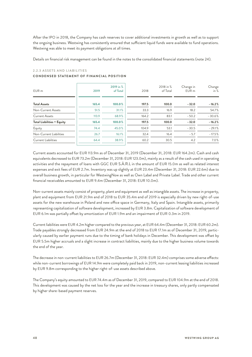After the IPO in 2018, the Company has cash reserves to cover additional investments in growth as well as to support the ongoing business. Westwing has consistently ensured that sufficient liquid funds were available to fund operations. Westwing was able to meet its payment obligations at all times.

Details on financial risk management can be found in the notes to the consolidated financial statements (note 24).

## 2.2.3 ASSETS AND LIABILITIES

## **CONDENSED STATEMENT OF FINANCIAL POSITION**

| EUR <sub>m</sub>                  | 2019  | 2019 in %<br>of Total | 2018  | 2018 in %<br>of Total | Change in<br>EUR m | Change<br>in $%$ |
|-----------------------------------|-------|-----------------------|-------|-----------------------|--------------------|------------------|
| <b>Total Assets</b>               | 165.4 | 100.0%                | 197.5 | 100.0                 | $-32.0$            | $-16.2%$         |
| Non-Current Assets                | 51.5  | 31.1%                 | 33.3  | 16.9                  | 18.2               | 54.7%            |
| <b>Current Assets</b>             | 113.9 | 68.9%                 | 164.2 | 83.1                  | $-50.2$            | $-30.6%$         |
| <b>Total Liabilities + Equity</b> | 165.4 | 100.0%                | 197.5 | 100.0                 | $-32.0$            | $-16.2%$         |
| Equity                            | 74.4  | 45.0%                 | 104.9 | 53.1                  | $-30.5$            | $-29.1%$         |
| Non-Current Liabilities           | 26.7  | 16.1%                 | 32.4  | 16.4                  | $-5.7$             | $-17.5%$         |
| Current Liabilities               | 64.4  | 38.9%                 | 60.2  | 30.5                  | 4.2                | $7.0\%$          |

Current assets accounted for EUR 113.9m as of December 31, 2019 (December 31, 2018: EUR 164.2m). Cash and cash equivalents decreased to EUR 73.2m (December 31, 2018: EUR 123.0m), mainly as a result of the cash used in operating activities and the repayment of loans with GGC EUR S.À.R.L in the amount of EUR 15.0m as well as related interest expenses and exit fees of EUR 2.7m. Inventory was up slightly at EUR 23.4m (December 31, 2018: EUR 22.6m) due to overall business growth, in particular for WestwingNow as well as Own Label and Private Label. Trade and other current financial receivables amounted to EUR 9.4m (December 31, 2018: EUR 10.0m).

Non-current assets mainly consist of property, plant and equipment as well as intangible assets. The increase in property, plant and equipment from EUR 21.9m end of 2018 to EUR 35.4m end of 2019 is especially driven by new right-of-use assets for the new warehouse in Poland and new office space in Germany, Italy and Spain. Intangible assets, primarily representing capitalization of software development, increased by EUR 3.8m. Capitalization of software development of EUR 6.1m was partially offset by amortization of EUR 1.9m and an impairment of EUR 0.3m in 2019.

Current liabilities were EUR 4.2m higher compared to the previous year, at EUR 64.4m (December 31, 2018: EUR 60.2m). Trade payables strongly decreased from EUR 24.9m at the end of 2018 to EUR 17.1m as of December 31, 2019, particularly caused by earlier payment runs due to the timing of bank holidays in December. This development was offset by EUR 5.5m higher accruals and a slight increase in contract liabilities, mainly due to the higher business volume towards the end of the year.

The decrease in non-current liabilities to EUR 26.7m (December 31, 2018: EUR 32.4m) comprises some adverse effects: while non-current borrowings of EUR 14.9m were completely paid back in 2019, non-current leasing liabilities increased by EUR 9.8m corresponding to the higher right-of-use assets described above.

The Company's equity amounted to EUR 74.4m as of December 31, 2019, compared to EUR 104.9m at the end of 2018. This development was caused by the net loss for the year and the increase in treasury shares, only partly compensated by higher share-based payment reserves.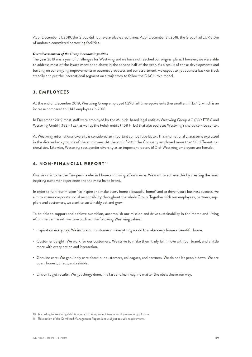As of December 31, 2019, the Group did not have available credit lines. As of December 31, 2018, the Group had EUR 3.0m of undrawn committed borrowing facilities.

## *Overall assessment of the Group's economic position*

The year 2019 was a year of challenges for Westwing and we have not reached our original plans. However, we were able to address most of the issues mentioned above in the second half of the year. As a result of these developments and building on our ongoing improvements in business processes and our assortment, we expect to get business back on track steadily and put the International segment on a trajectory to follow the DACH role model.

# 3. EMPLOYEES

At the end of December 2019, Westwing Group employed 1,290 full time equivalents (hereinafter: FTEs<sup>10</sup>), which is an increase compared to 1,143 employees in 2018.

In December 2019 most staff were employed by the Munich-based legal entities Westwing Group AG (339 FTEs) and Westwing GmbH (182 FTEs), as well as the Polish entity (458 FTEs) that also operates Westwing's shared service center.

At Westwing, international diversity is considered an important competitive factor. This international character is expressed in the diverse backgrounds of the employees. At the end of 2019 the Company employed more than 50 different nationalities. Likewise, Westwing sees gender diversity as an important factor. 61 % of Westwing employees are female.

# 4. NON-FINANCIAL REPORT<sup>11</sup>

Our vision is to be the European leader in Home and Living eCommerce. We want to achieve this by creating the most inspiring customer experience and the most loved brand.

In order to fulfil our mission "to inspire and make every home a beautiful home" and to drive future business success, we aim to ensure corporate social responsibility throughout the whole Group. Together with our employees, partners, suppliers and customers, we want to sustainably act and grow.

To be able to support and achieve our vision, accomplish our mission and drive sustainability in the Home and Living eCommerce market, we have outlined the following Westwing values:

- Inspiration every day: We inspire our customers in everything we do to make every home a beautiful home.
- Customer delight: We work for our customers. We strive to make them truly fall in love with our brand, and a little more with every action and interaction.
- Genuine care: We genuinely care about our customers, colleagues, and partners. We do not let people down. We are open, honest, direct, and reliable.
- Driven to get results: We get things done, in a fast and lean way, no matter the obstacles in our way.

<sup>10</sup> According to Westwing definition, one FTE is equivalent to one employee working full-time.

<sup>11</sup> This section of the Combined Management Report is not subject to audit requirements.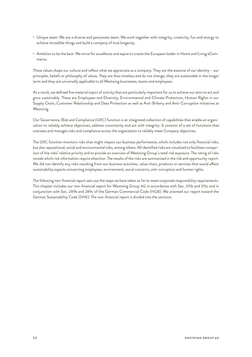- Unique team: We are a diverse and passionate team. We work together with integrity, creativity, fun and energy to achieve incredible things and build a company of true longevity.
- Ambition to be the best: We strive for excellence and aspire to create the European leader in Home and Living eCommerce.

Those values shape our culture and reflect what we appreciate as a company. They are the essence of our identity – our principles, beliefs or philosophy of values. They are thus timeless and do not change, they are sustainable in the longer term and they are universally applicable to all Westwing businesses, teams and employees.

As a result, we defined five material topics of activity that are particularly important for us to achieve our aims to act and grow sustainably. These are Employees and Diversity, Environmental and Climate Protection, Human Rights in our Supply Chain, Customer Relationship and Data Protection as well as Anti-Bribery and Anti-Corruption initiatives at Westwing.

Our Governance, Risk and Compliance (GRC) function is an integrated collection of capabilities that enable an organization to reliably achieve objectives, address uncertainty and act with integrity. It consists of a set of functions that oversees and manages risks and compliance across the organization to reliably meet Company objectives.

The GRC function monitors risks that might impact our business performance, which includes not only financial risks, but also reputational, social and environmental risks, among others. All identified risks are visualized to facilitate comparison of the risks' relative priority and to provide an overview of Westwing Group´s total risk exposure. The rating of risks reveals which risk information require attention. The results of the risks are summarized in the risk and opportunity report. We did not identify any risks resulting from our business activities, value chain, products or services that would affect sustainability aspects concerning employees, environment, social concerns, anti-corruption and human rights.

The following non-financial report sets out the steps we have taken so far to meet corporate responsibility requirements. This chapter includes our non-financial report for Westwing Group AG in accordance with Sec. 315b and 315c and in conjunction with Sec. 289b and 289c of the German Commercial Code (HGB). We oriented our report toward the German Sustainability Code (DNK). The non-financial report is divided into the sections: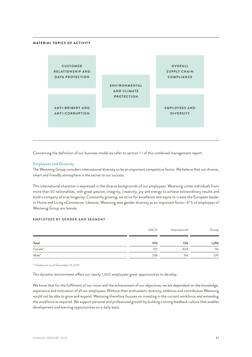## **MATERIAL TOPICS OF ACTIVITY**



Concerning the definition of our business model we refer to section 1.1 of this combined management report.

#### **Employees and Diversity**

The Westwing Group considers international diversity to be an important competitive factor. We believe that our diverse, smart and friendly atmosphere is the secret to our success.

This international character is expressed in the diverse backgrounds of our employees. Westwing unites individuals from more than 50 nationalities, with great passion, integrity, creativity, joy and energy to achieve extraordinary results and build a company of true longevity. Constantly growing, we strive for excellence and aspire to create the European leader in Home and Living eCommerce. Likewise, Westwing sees gender diversity as an important factor: 61 % of employees of Westwing Group are female.

## **EMPLOYEES BY GENDER AND SEGMENT**

|                  | DACH | International | Group |
|------------------|------|---------------|-------|
| Total            | 570  | 720           | 1,290 |
| Female*          | 321  | 404           | 716   |
| Male*<br>_______ | 258  | 316           | 574   |

\* Headcount as of December 31, 2019

This dynamic environment offers our nearly 1,300 employees great opportunities to develop.

We know that for the fulfilment of our vision and the achievement of our objectives, we are dependent on the knowledge, experience and motivation of all our employees. Without their enthusiasm, diversity, ambition and contribution Westwing would not be able to grow and expand. Westwing therefore focuses on investing in the current workforce and extending the workforce as required. We support personal and professional growth by building a strong feedback culture that enables development and learning opportunities on a daily basis.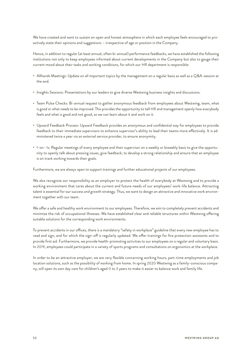We have created and want to sustain an open and honest atmosphere in which each employee feels encouraged to proactively state their opinions and suggestions – irrespective of age or position in the Company.

Hence, in addition to regular (at least annual, often bi-annual) performance feedbacks, we have established the following institutions not only to keep employees informed about current developments in the Company but also to gauge their current mood about their tasks and working conditions, for which our HR department is responsible:

- Allhands Meetings: Update on all important topics by the management on a regular basis as well as a Q&A-session at the end.
- Insights Sessions: Presentations by our leaders to give diverse Westwing business insights and discussions.
- Team Pulse Checks: Bi-annual request to gather anonymous feedback from employees about Westwing, team, what is good or what needs to be improved. This provides the opportunity to tell HR and management openly how everybody feels and what is good and not good, so we can learn about it and work on it.
- Upward Feedback Process: Upward Feedback provides an anonymous and confidential way for employees to provide feedback to their immediate supervisors to enhance supervisor's ability to lead their teams more effectively. It is administered twice a year via an external service provider, to ensure anonymity.
- 1-on–1s: Regular meetings of every employee and their supervisor on a weekly or biweekly basis to give the opportunity to openly talk about pressing issues, give feedback, to develop a strong relationship and ensure that an employee is on track working towards their goals.

Furthermore, we are always open to support trainings and further educational projects of our employees.

We also recognize our responsibility as an employer to protect the health of everybody at Westwing and to provide a working environment that cares about the current and future needs of our employees' work-life balance. Attracting talent is essential for our success and growth strategy. Thus, we want to design an attractive and innovative work environment together with our team.

We offer a safe and healthy work environment to our employees. Therefore, we aim to completely prevent accidents and minimize the risk of occupational illnesses. We have established clear and reliable structures within Westwing offering suitable solutions for the corresponding work environments.

To prevent accidents in our offices, there is a mandatory "safety in workplace" guideline that every new employee has to read and sign, and for which the sign-off is regularly updated. We offer trainings for fire protection assistants and to provide first aid. Furthermore, we provide health-promoting activities to our employees on a regular and voluntary basis. In 2019, employees could participate in a variety of sports programs and consultations on ergonomics at the workplace.

In order to be an attractive employer, we are very flexible concerning working hours, part-time employments and job location solutions, such as the possibility of working from home. In spring 2020 Westwing as a family-conscious company, will open its own day care for children's aged 0 to 3 years to make it easier to balance work and family life.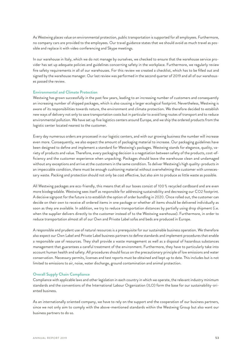As Westwing places value on environmental protection, public transportation is supported for all employees. Furthermore, no company cars are provided to the employees. Our travel guidance states that we should avoid as much travel as possible and replace it with video conferencing and Skype meetings.

In our warehouse in Italy, which we do not manage by ourselves, we checked to ensure that the warehouse service provider has set up adequate policies and guidelines concerning safety in the workplace. Furthermore, we regularly review fire safety requirements in all of our warehouses. For this review we created a checklist, which has to be filled out and signed by the warehouse manager. Our last review was performed in the second quarter of 2019 and all of our warehouses passed the review.

## **Environmental and Climate Protection**

Westwing has grown successfully in the past few years, leading to an increasing number of customers and consequently an increasing number of shipped packages, which is also causing a larger ecological footprint. Nevertheless, Westwing is aware of its responsibilities towards nature, the environment and climate protection. We therefore decided to establish new ways of delivery not only to save transportation costs but in particular to avoid long routes of transport and to reduce environmental pollution. We have set up five logistics centers around Europe, and we ship the ordered products from the logistic center located nearest to the customer.

Every day numerous orders are processed in our logistic centers, and with our growing business the number will increase even more. Consequently, we also expect the amount of packaging material to increase. Our packaging guidelines have been designed to define and implement a standard for Westwing's packages. Westwing stands for elegance, quality, variety of products and value. Therefore, every packaging decision is a negotiation between safety of the products, cost-efficiency and the customer experience when unpacking. Packages should leave the warehouse clean and undamaged without any exceptions and arrive at the customers in the same condition. To deliver Westwing's high quality-products in an impeccable condition, there must be enough cushioning material without overwhelming the customer with unnecessary waste. Packing and protection should not only be cost effective, but also aim to produce as little waste as possible.

All Westwing packages are eco-friendly, this means that all our boxes consist of 100 % recycled cardboard and are even more biodegradable. Westwing sees itself as responsible for addressing sustainability and decreasing our CO2 footprint. A decisive signpost for the future is to establish the option of order bundling in 2020. Once rolled out, the customer can decide on their own to receive all ordered items in one package or whether all items should be delivered individually as soon as they are available. In addition, we try to reduce transportation distances by partially using drop shipment (i.e. when the supplier delivers directly to the customer instead of to the Westwing warehouse). Furthermore, in order to reduce transportation almost all of our Own and Private Label sofas and beds are produced in Europe.

A responsible and prudent use of natural resources is a prerequisite for our sustainable business operation. We therefore also expect our Own Label and Private Label business partners to define standards and implement procedures that enable a responsible use of resources. They shall provide a waste management as well as a disposal of hazardous substances management that guarantees a careful treatment of the environment. Furthermore, they have to particularly take into account human health and safety. All procedures should focus on the precautionary principle of low emissions and water conservation. Necessary permits, licenses and test reports must be obtained and kept up to date. This includes but is not limited to emissions to air, noise, water discharge, ground contamination and animal protection.

#### **Overall Supply Chain Compliance**

Compliance with applicable laws and other legislation in each country in which we operate, the relevant industry minimum standards and the conventions of the International Labour Organization (ILO) form the base for our sustainability-oriented business.

As an internationally oriented company, we have to rely on the support and the cooperation of our business partners, since we not only aim to comply with the above-mentioned standards within the Westwing Group but also want our business partners to do so.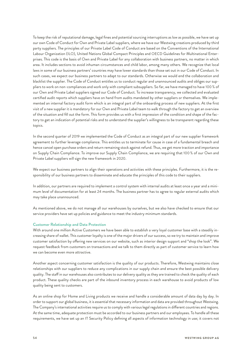To keep the risk of reputational damage, legal fines and potential sourcing interruptions as low as possible, we have set up our own Code of Conduct for Own and Private Label suppliers, where we have our Westwing creations produced by third party suppliers. The principles of our Private Label Code of Conduct are based on the Conventions of the International Labour Organization (ILO), United Nations Global Compact Principles and OECD Guidelines for Multinational Enterprises. This code is the basis of Own and Private Label for any collaboration with business partners, no matter in which area. It includes sections to avoid inhuman circumstances and child labor, among many others. We recognize that local laws in some of our business partners' countries may have lower standards than those set out in our Code of Conduct. In such cases, we expect our business partners to adapt to our standards. Otherwise we would end the collaboration and blacklist the supplier. The Code of Conduct entitles us to conduct regular and unannounced audits and obliges our suppliers to work on non-compliances and work only with compliant subsuppliers. So far, we have managed to have 100 % of our Own and Private Label suppliers signed our Code of Conduct. To increase transparency, we collected and evaluated certified audit reports which suppliers have on hand from audits mandated by other suppliers or themselves. We implemented an internal factory audit form which is an integral part of the onboarding process of new suppliers. At the first visit of a new supplier it is mandatory for our Own and Private Label team to walk through the factory to get an overview of the situation and fill out the form. This form provides us with a first impression of the condition and shape of the factory to get an indication of potential risks and to understand the supplier's willingness to be transparent regarding these topics.

In the second quarter of 2019 we implemented the Code of Conduct as an integral part of our new supplier framework agreement to further leverage compliance. This entitles us to terminate for cause in case of a fundamental breach and hence cancel open purchase orders and return remaining stock against refund. Thus, we get more traction and importance on Supply Chain Compliance. To improve our Supply Chain Compliance, we are requiring that 100 % of our Own and Private Label suppliers will sign the new framework in 2020.

We expect our business partners to align their operations and activities with these principles. Furthermore, it is the responsibility of our business partners to disseminate and educate the principles of this code to their suppliers.

In addition, our partners are required to implement a control system with internal audits at least once a year and a minimum level of documentation for at least 24 months. The business partner has to agree to regular external audits which may take place unannounced.

As mentioned above, we do not manage all our warehouses by ourselves, but we also have checked to ensure that our service providers have set up policies and guidance to meet the industry minimum standards.

## **Customer Relationship and Data Protection**

With around one million Active Customers we have been able to establish a very loyal customer base with a steadily increasing share of wallet. This customer loyalty is one of the major drivers of our success, so we try to maintain and improve customer satisfaction by offering new services on our website, such as interior design support and "shop the look". We request feedback from customers on transactions and we talk to them directly as part of customer service to learn how we can become even more attractive.

Another aspect concerning customer satisfaction is the quality of our products. Therefore, Westwing maintains close relationships with our suppliers to reduce any complications in our supply chain and ensure the best possible delivery quality. The staff in our warehouses also contributes to our delivery quality as they are trained to check the quality of each product. These quality checks are part of the inbound inventory process in each warehouse to avoid products of low quality being sent to customers.

As an online shop for Home and Living products we receive and handle a considerable amount of data day by day. In order to support our global business, it is essential that necessary information and data are provided throughout Westwing. The Company's international activities require us to comply with various legal regulations in different countries and regions. At the same time, adequate protection must be accorded to our business partners and our employees. To handle all these requirements, we have set up an IT Security Policy defining all aspects of information technology in use; it covers not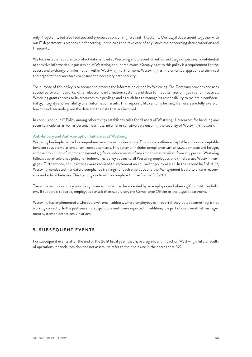only IT Systems, but also facilities and processes concerning relevant IT systems. Our Legal department together with our IT department is responsible for setting up the rules and take care of any issues the concerning data protection and IT security.

We have established rules to protect data handled at Westwing and prevent unauthorized usage of personal, confidential or sensitive information in possession of Westwing or our employees. Complying with this policy is a requirement for the access and exchange of information within Westwing. Furthermore, Westwing has implemented appropriate technical and organizational measures to ensure the necessary data security.

The purpose of this policy is to secure and protect the information owned by Westwing. The Company provides and uses special software, networks, other electronic information systems and data to meet its mission, goals, and initiatives. Westwing grants access to its resources as a privilege and as such has to manage its responsibility to maintain confidentiality, integrity and availability of all information assets. This responsibility can only be met, if all users are fully aware of how to work securely given the data and the risks that are involved.

In conclusion, our IT Policy among other things establishes rules for all users of Westwing IT resources for handling any security incidents as well as personal, business, internal or sensitive data ensuring the security of Westwing's network.

## **Anti-bribery and Anti-corruption Initiatives at Westwing**

Westwing has implemented a comprehensive anti-corruption policy. This policy outlines acceptable and non-acceptable behavior to avoid violations of anti-corruption laws. This behavior includes compliance with all laws, domestic and foreign, and the prohibition of improper payments, gifts or inducements of any kind to or as received from any person. Westwing follows a zero-tolerance policy for bribery. The policy applies to all Westwing employees and third parties Westwing engages. Furthermore, all subsidiaries were required to implement an equivalent policy as well. In the second half of 2019, Westwing conducted mandatory compliance trainings for each employee and the Management Board to ensure reasonable and ethical behavior. This training circle will be completed in the first half of 2020.

The anti-corruption policy provides guidance on what can be accepted by an employee and when a gift constitutes bribery. If support is required, employees can ask their supervisor, the Compliance Officer or the Legal department.

Westwing has implemented a whistleblower email address, where employees can report if they detect something is not working correctly. In the past years, no suspicious events were reported. In addition, it is part of our overall risk management system to detect any violations.

# 5. SUBSEQUENT EVENTS

For subsequent events after the end of the 2019 fiscal year, that have a significant impact on Westwing's future results of operations, financial position and net assets, we refer to the disclosure in the notes (note 32).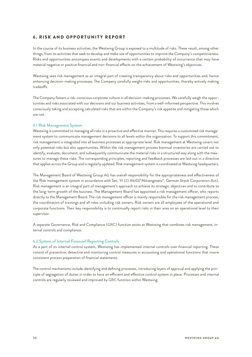# **6. RISK AND OPPORTUNITY REPORT**

In the course of its business activities, the Westwing Group is exposed to a multitude of risks. These result, among other things, from its activities that seek to develop and make use of opportunities to improve the Company's competitiveness. Risks and opportunities encompass events and developments with a certain probability of occurrence that may have material negative or positive financial and non-financial effects on the achievement of Westwing's objectives.

Westwing sees risk management as an integral part of creating transparency about risks and opportunities and, hence enhancing decision-making processes. The Company carefully weighs risks and opportunities, thereby actively making tradeoffs.

The Company fosters a risk-conscious corporate culture in all decision-making processes. We carefully weigh the opportunities and risks associated with our decisions and our business activities, from a well-informed perspective. This involves consciously taking and accepting calculated risks that are within the Company's risk appetite and mitigating those which are not.

## **6.1 Risk Management System**

Westwing is committed to managing all risks in a proactive and effective manner. This requires a customized risk management system to communicate management decisions to all levels within the organization. To support this commitment, risk management is integrated into all business processes at appropriate level. Risk management at Westwing covers not only potential risks but also opportunities. Within the risk management process biannual inventories are carried out to identify, evaluate, document, and subsequently communicate the material risks in a structured way along with the measures to manage these risks. The corresponding principles, reporting and feedback processes are laid out in a directive that applies across the Group and is regularly updated. Risk management system is coordinated at Westwing headquarters.

The Management Board of Westwing Group AG has overall responsibility for the appropriateness and effectiveness of the Risk management system in accordance with Sec. 91 (2) AktG("Aktiengesetz": German Stock Corporation Act). Risk management is an integral part of management's approach to achieve its strategic objectives and to contribute to the long-term growth of the business. The Management Board has appointed a risk management officer, who reports directly to the Management Board. The risk management officer is mainly responsible for the risk management process, the coordination of trainings and all roles including risk owners. Risk owners are all employees of the operational and corporate functions. Their key responsibility is to continually report risks in their area on an operational level to their supervisor.

A separate Governance, Risk and Compliance (GRC) function exists at Westwing that combines risk management, internal controls and compliance.

## **6.2 System of Internal Financial Reporting Controls**

As a part of its internal control system, Westwing has implemented internal controls over financial reporting. These consist of preventive, detective and monitoring control measures in accounting and operational functions that insure consistent process preparation of financial statements.

The control mechanisms include identifying and defining processes, introducing layers of approval and applying the principle of segregation of duties in order to have an efficient and effective control system in place. Processes and internal controls are regularly reviewed and improved by GRC function within Westwing.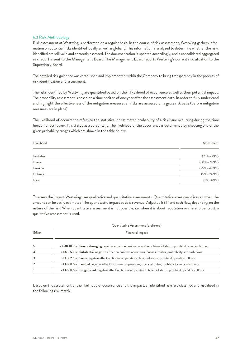## **6.3 Risk Methodology**

Risk assessment at Westwing is performed on a regular basis. In the course of risk assessment, Westwing gathers information on potential risks identified locally as well as globally. This information is analyzed to determine whether the risks identified are still valid and correctly assessed. The documentation is updated accordingly, and a consolidated aggregated risk report is sent to the Management Board. The Management Board reports Westwing's current risk situation to the Supervisory Board.

The detailed risk guidance was established and implemented within the Company to bring transparency in the process of risk identification and assessment.

The risks identified by Westwing are quantified based on their likelihood of occurrence as well as their potential impact. The probability assessment is based on a time horizon of one year after the assessment date. In order to fully understand and highlight the effectiveness of the mitigation measures all risks are assessed on a gross risk basis (before mitigation measures are in place).

The likelihood of occurrence refers to the statistical or estimated probability of a risk issue occurring during the time horizon under review. It is stated as a percentage. The likelihood of the occurrence is determined by choosing one of the given probability ranges which are shown in the table below:

Likelihood Assessment Probable (75%–99%) Likely (50%–74.9%) Possible (25%–49.9%) Unlikely (5%–24.9%) Rare (1%–4.9%)

To assess the impact Westwing uses qualitative and quantitative assessments. Quantitative assessment is used when the amount can be easily estimated. The quantitative impact basis is revenue, Adjusted EBIT and cash flow, depending on the nature of the risk. When quantitative assessment is not possible, i.e. when it is about reputation or shareholder trust, a qualitative assessment is used.

|                |                  | Quantitative Assessment (preferred)                                                                                                                                 |
|----------------|------------------|---------------------------------------------------------------------------------------------------------------------------------------------------------------------|
| Effect         | Financial Impact |                                                                                                                                                                     |
| 5              |                  | > EUR 10.0m Severe damaging negative effect on business operations, financial status, profitability and cash flows                                                  |
|                |                  |                                                                                                                                                                     |
| $\overline{4}$ |                  | > EUR 5.0m Substantial negative effect on business operations, financial status, profitability and cash flows                                                       |
| 3              |                  | > EUR 2.0m Some negative effect on business operations, financial status, profitability and cash flows                                                              |
| $\overline{2}$ |                  | > EUR 0.5m Limited negative effect on business operations, financial status, profitability and cash flowss                                                          |
|                |                  | <eur 0.5m="" and="" business="" cash="" effect="" financial="" flows<="" insignificant="" negative="" on="" operations,="" profitability="" status,="" td=""></eur> |

Based on the assessment of the likelihood of occurrence and the impact, all identified risks are classified and visualized in the following risk matrix: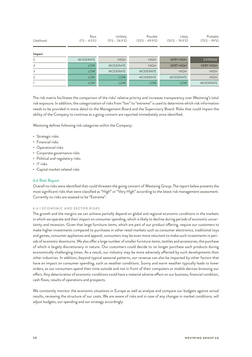| Likelihood     | Rare<br>$(1\% - 4.9\%)$ | Unlikely<br>$(5\% - 24.9\%)$ | Possible<br>$(25\% - 49.9\%)$ | Likely<br>$(50\% - 74.9\%)$ | Probable<br>$(75\% - 99\%)$ |
|----------------|-------------------------|------------------------------|-------------------------------|-----------------------------|-----------------------------|
| Impact         |                         |                              |                               |                             |                             |
| 5              | <b>MODERATE</b>         | <b>HIGH</b>                  | <b>HIGH</b>                   | <b>VERY HIGH</b>            | <b>EXTREME</b>              |
| $\overline{4}$ | <b>LOW</b>              | <b>MODERATE</b>              | <b>HIGH</b>                   | <b>VERY HIGH</b>            | <b>VERY HIGH</b>            |
| 3              | <b>LOW</b>              | <b>MODERATE</b>              | <b>MODERATE</b>               | <b>HIGH</b>                 | <b>HIGH</b>                 |
| 2              | <b>LOW</b>              | <b>LOW</b>                   | <b>MODERATE</b>               | <b>MODERATE</b>             | <b>HIGH</b>                 |
|                | <b>LOW</b>              | <b>LOW</b>                   | <b>LOW</b>                    | <b>LOW</b>                  | <b>MODERATE</b>             |

The risk matrix facilitates the comparison of the risks' relative priority and increases transparency over Westwing's total risk exposure. In addition, the categorization of risks from "low" to "extreme" is used to determine which risk information needs to be provided in more detail to the Management Board and the Supervisory Board. Risks that could impact the ability of the Company to continue as a going concern are reported immediately once identified.

Westwing defines following risk categories within the Company:

- Strategic risks
- Financial risks
- Operational risks
- Corporate governance risks
- Political and regulatory risks
- IT risks
- Capital market related risks

## **6.4 Risk Report**

Overall no risks were identified that could threaten the going concern of Westwing Group. The report below presents the most significant risks that were classified as "High" or "Very High" according to the latest risk management assessment. Currently no risks are assesed to be "Extreme".

## 6.4.1 ECONOMIC AND SECTOR RISKS

The growth and the margins we can achieve partially depend on global and regional economic conditions in the markets in which we operate and their impact on consumer spending, which is likely to decline during periods of economic uncertainty and recession. Given that large furniture items, which are part of our product offering, require our customers to make higher investments compared to purchases in other retail markets such as consumer electronics, traditional toys and games, consumer appliances and apparel, consumers may be even more reluctant to make such investments in periods of economic downturns. We also offer a large number of smaller furniture items, textiles and accessories, the purchase of which is largely discretionary in nature. Our customers could decide to no longer purchase such products during economically challenging times. As a result, our industry may be more adversely affected by such developments than other industries. In addition, beyond typical seasonal patterns, our revenue can also be impacted by other factors that have an impact on consumer spending, such as weather conditions. Sunny and warm weather typically leads to lower orders, as our consumers spend their time outside and not in front of their computers or mobile devices browsing our offers. Any deterioration of economic conditions could have a material adverse effect on our business, financial condition, cash flows, results of operations and prospects.

We constantly monitor the economic situations in Europe as well as analyze and compare our budgets against actual results, reviewing the structure of our costs. We are aware of risks and in case of any changes in market conditions, will adjust budgets, our spending and our strategy accordingly.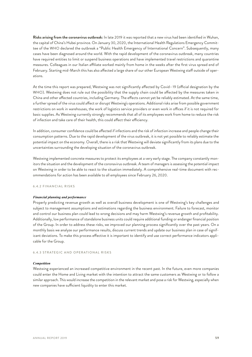**Risks arising from the coronavirus outbreak:** In late 2019 it was reported that a new virus had been identified in Wuhan, the capital of China's Hubei province. On January 30, 2020, the International Health Regulations Emergency Committee of the WHO declared the outbreak a "Public Health Emergency of International Concern". Subsequently, many cases have been diagnosed around the world. With the rapid development of the coronavirus outbreak, many countries have required entities to limit or suspend business operations and have implemented travel restrictions and quarantine measures. Colleagues in our Italian affiliate worked mainly from home in the weeks after the first virus spread end of February. Starting mid-March this has also affected a large share of our other European Westwing staff outside of operations.

At the time this report was prepared, Westwing was not significantly affected by Covid– 19 (official designation by the WHO). Westwing does not rule out the possibility that the supply chain could be affected by the measures taken in China and other affected countries, including Germany. The effects cannot yet be reliably estimated. At the same time, a further spread of the virus could affect or disrupt Westwing's operations. Additional risks arise from possible government restrictions on work in warehouses, the work of logistics service providers or even work in offices if it is not required for basic supplies. As Westwing currently strongly recommends that all of its employees work from home to reduce the risk of infection and take care of their health, this could affect their efficiency.

In addition, consumer confidence could be affected if infections and the risk of infection increase and people change their consumption patterns. Due to the rapid development of the virus outbreak, it is not yet possible to reliably estimate the potential impact on the economy. Overall, there is a risk that Westwing will deviate significantly from its plans due to the uncertainties surrounding the developing situation of the coronavirus outbreak.

Westwing implemented concrete measures to protect its employees at a very early stage. The company constantly monitors the situation and the development of the coronavirus outbreak. A team of managers is assessing the potential impact on Westwing in order to be able to react to the situation immediately. A comprehensive real-time document with recommendations for action has been available to all employees since February 26, 2020.

#### 6.4.2 FINANCIAL RISKS

#### *Financial planning and performance*

Properly predicting revenue growth as well as overall business development is one of Westwing's key challenges and subject to management assumptions and estimations regarding the business environment. Failure to forecast, monitor and control our business plan could lead to wrong decisions and may harm Westwing's revenue growth and profitability. Additionally, low performance of standalone business units could require additional funding or endanger financial position of the Group. In order to address these risks, we improved our planning process significantly over the past years. On a monthly basis we analyze our performance results, discuss current trends and update our business plan in case of significant deviations. To make this process effective it is important to identify and use correct performance indicators applicable for the Group.

## 6.4.3 STRATEGIC AND OPERATIONAL RISKS

#### *Competition*

Westwing experienced an increased competitive environment in the recent past. In the future, even more companies could enter the Home and Living market with the intention to attract the same customers as Westwing or to follow a similar approach. This would increase the competition in the relevant market and pose a risk for Westwing, especially when new companies have sufficient liquidity to enter this market.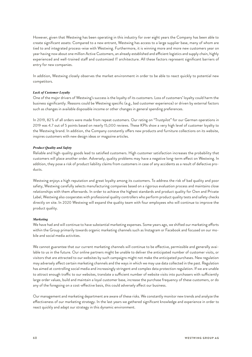However, given that Westwing has been operating in this industry for over eight years the Company has been able to create significant assets: Compared to a new entrant, Westwing has access to a large supplier base, many of whom are tied to and integrated process-wise with Westwing. Furthermore, it is winning more and more new customers year on year having now about one million Active Customers, an already established and efficient logistics and supply chain, highly experienced and well-trained staff and customized IT architecture. All these factors represent significant barriers of entry for new companies.

In addition, Westwing closely observes the market environment in order to be able to react quickly to potential new competitors.

## *Lack of Customer Loyalty*

One of the major drivers of Westwing's success is the loyalty of its customers. Loss of customers' loyalty could harm the business significantly. Reasons could be Westwing specific (e.g., bad customer experience) or driven by external factors such as changes in available disposable income or other changes in general spending preferences.

In 2019, 82 % of all orders were made from repeat customers. Our rating on "Trustpilot" for our German operations in 2019 was 4.7 out of 5 points based on nearly 15,000 reviews. These KPIs show a very high level of customer loyalty to the Westwing brand. In addition, the Company constantly offers new products and furniture collections on its website, inspires customers with new design ideas or magazine articles.

## *Product Quality and Safety*

Reliable and high-quality goods lead to satisfied customers. High customer satisfaction increases the probability that customers will place another order. Adversely, quality problems may have a negative long-term effect on Westwing. In addition, they pose a risk of product liability claims from customers in case of any accidents as a result of defective products.

Westwing enjoys a high reputation and great loyalty among its customers. To address the risk of bad quality and poor safety, Westwing carefully selects manufacturing companies based on a rigorous evaluation process and maintains close relationships with them afterwards. In order to achieve the highest standards and product quality for Own and Private Label, Westwing also cooperates with professional quality controllers who perform product quality tests and safety checks directly on site. In 2020 Westwing will expand the quality team with four employees who will continue to improve the product quality.

## *Marketing*

We have had and will continue to have substantial marketing expenses. Some years ago, we shifted our marketing efforts within the Group primarily towards organic marketing channels such as Instagram or Facebook and focused on our mobile and social media activities.

We cannot guarantee that our current marketing channels will continue to be effective, permissible and generally available to us in the future. Our online partners might be unable to deliver the anticipated number of customer visits, or visitors that are attracted to our websites by such campaigns might not make the anticipated purchases. New regulation may adversely affect certain marketing channels and the ways in which we may use data collected in the past. Regulation has aimed at controlling social media and increasingly stringent and complex data protection regulation. If we are unable to attract enough traffic to our websites, translate a sufficient number of website visits into purchasers with sufficiently large order values, build and maintain a loyal customer base, increase the purchase frequency of these customers, or do any of the foregoing on a cost-effective basis, this could adversely affect our business.

Our management and marketing department are aware of these risks. We constantly monitor new trends and analyze the effectiveness of our marketing strategy. In the last years we gathered significant knowledge and experience in order to react quickly and adapt our strategy in this dynamic environment.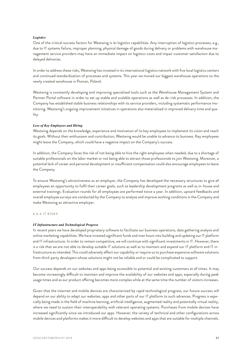## *Logistics*

One of the critical success factors for Westwing is its logistics capabilities. Any interruption of logistics processes, e.g., due to IT systems failure, improper planning, physical damage of goods during delivery or problems with warehouse management service providers may have an immediate impact on logistics costs and impair customer satisfaction due to delayed deliveries.

In order to address these risks, Westwing has invested in its international logistics network with five local logistics centers and continued standardization of processes and systems. This year we moved our biggest warehouse operations to the newly created warehouse in Poznan, Poland.

Westwing is constantly developing and improving specialized tools such as the Warehouse Management System and Partner Portal software in order to set up stable and scalable operations as well as de-risk processes. In addition, the Company has established stable business relationships with its service providers, including systematic performance monitoring. Westwing's ongoing improvement initiatives in operations also materialized in improved delivery time and quality.

#### *Loss of Key Employees and Hiring*

Westwing depends on the knowledge, experience and motivation of its key employees to implement its vision and reach its goals. Without their enthusiasm and contribution, Westwing would be unable to advance its business. Key employees might leave the Company, which could have a negative impact on the Company's success.

In addition, the Company faces the risk of not being able to hire the right employees when needed, due to a shortage of suitable professionals on the labor market or not being able to attract those professionals to join Westwing. Moreover, a potential lack of career and personal development or insufficient compensation could also encourage employees to leave the Company.

To ensure Westwing's attractiveness as an employer, the Company has developed the necessary structures to give all employees an opportunity to fulfil their career goals, such as leadership development programs as well as in-house and external trainings. Evaluation rounds for all employees are performed twice a year. In addition, upward feedbacks and overall employee surveys are conducted by the Company to analyze and improve working conditions in the Company and make Westwing an attractive employer.

#### 6.4.4 IT RISKS

#### *IT Infrastructure and Technological Progress*

In recent years we have developed proprietary software to facilitate our business operations, data gathering analysis and online marketing capabilities. We have invested significant funds and man hours into building and updating our IT platform and IT infrastructure. In order to remain competitive, we will continue with significant investments in IT. However, there is a risk that we are not able to develop suitable IT solutions as well as to maintain and expand our IT platform and IT infrastructure as intended. This could adversely affect our capability or require us to purchase expensive software solutions from third-party developers whose solutions might not be reliable and or could be complicated to support.

Our success depends on our websites and apps being accessible to potential and existing customers at all times. It may become increasingly difficult to maintain and improve the availability of our websites and apps, especially during peak usage times and as our product offering becomes more complex while at the same time the number of visitors increases.

Given that the internet and mobile devices are characterized by rapid technological progress, our future success will depend on our ability to adapt our websites, apps and other parts of our IT platform to such advances. Progress is especially being made in the field of machine learning, artificial intelligence, augmented reality and potentially virtual reality, where we need to sustain their interoperability with relevant operating systems. Purchases from mobile devices have increased significantly since we introduced our apps. However, the variety of technical and other configurations across mobile devices and platforms makes it more difficult to develop websites and apps that are suitable for multiple channels.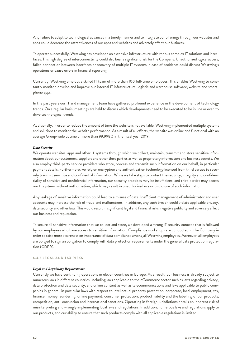Any failure to adapt to technological advances in a timely manner and to integrate our offerings through our websites and apps could decrease the attractiveness of our apps and websites and adversely affect our business.

To operate successfully, Westwing has developed an extensive infrastructure with various complex IT solutions and interfaces. This high degree of interconnectivity could also bear a significant risk for the Company. Unauthorized logical access, failed connection between interfaces or recovery of multiple IT systems in case of accidents could disrupt Westwing's operations or cause errors in financial reporting.

Currently, Westwing employs a skilled IT team of more than 100 full-time employees. This enables Westwing to constantly monitor, develop and improve our internal IT infrastructure, logistic and warehouse software, website and smartphone apps.

In the past years our IT and management team have gathered profound experience in the development of technology trends. On a regular basis, meetings are held to discuss which developments need to be executed to be in line or even to drive technological trends.

Additionally, in order to reduce the amount of time the website is not available, Westwing implemented multiple systems and solutions to monitor the website performance. As a result of all efforts, the website was online and functional with an average Group-wide uptime of more than 99.998 % in the fiscal year 2019.

#### *Data Security*

We operate websites, apps and other IT systems through which we collect, maintain, transmit and store sensitive information about our customers, suppliers and other third parties as well as proprietary information and business secrets. We also employ third-party service providers who store, process and transmit such information on our behalf, in particular payment details. Furthermore, we rely on encryption and authentication technology licensed from third parties to securely transmit sensitive and confidential information. While we take steps to protect the security, integrity and confidentiality of sensitive and confidential information, our security practices may be insufficient, and third parties may access our IT systems without authorization, which may result in unauthorized use or disclosure of such information.

Any leakage of sensitive information could lead to a misuse of data. Inefficient management of administrator and user accounts may increase the risk of fraud and malfunctions. In addition, any such breach could violate applicable privacy, data security and other laws. This would result in significant legal and financial risks, negative publicity and adversely affect our business and reputation.

To secure all sensitive information that we collect and store, we developed a strong IT security concept that is followed by our employees who have access to sensitive information. Compliance workshops are conducted in the Company in order to raise more awareness on importance of data compliance among all Westwing employees. Moreover, all employees are obliged to sign an obligation to comply with data protection requirements under the general data protection regulation (GDPR).

## 6.4.5 LEGAL AND TAX RISKS

#### *Legal and Regulatory Requirements*

Currently we have continuing operations in eleven countries in Europe. As a result, our business is already subject to numerous laws in different countries, including laws applicable to the eCommerce sector such as laws regarding privacy, data protection and data security, and online content as well as telecommunications and laws applicable to public companies in general, in particular laws with respect to intellectual property protection, corporate, local employment, tax, finance, money laundering, online payment, consumer protection, product liability and the labelling of our products, competition, anti-corruption and international sanctions. Operating in foreign jurisdictions entails an inherent risk of misinterpreting and wrongly implementing local laws and regulations. In addition, numerous laws and regulations apply to our products, and our ability to ensure that such products comply with all applicable regulations is limited.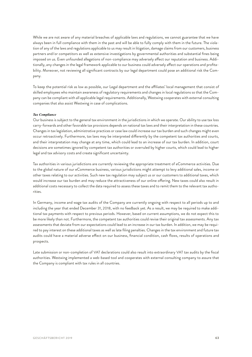While we are not aware of any material breaches of applicable laws and regulations, we cannot guarantee that we have always been in full compliance with them in the past and will be able to fully comply with them in the future. The violation of any of the laws and regulations applicable to us may result in litigation, damage claims from our customers, business partners and/or competitors as well as extensive investigations by governmental authorities and substantial fines being imposed on us. Even unfounded allegations of non-compliance may adversely affect our reputation and business. Additionally, any changes in the legal framework applicable to our business could adversely affect our operations and profitability. Moreover, not reviewing all significant contracts by our legal department could pose an additional risk the Company.

To keep the potential risk as low as possible, our Legal department and the affiliates' local management that consist of skilled employees who maintain awareness of regulatory requirements and changes in local regulations so that the Company can be compliant with all applicable legal requirements. Additionally, Westwing cooperates with external consulting companies that also assist Westwing in case of complications.

#### *Tax Compliance*

Our business is subject to the general tax environment in the jurisdictions in which we operate. Our ability to use tax loss carry-forwards and other favorable tax provisions depends on national tax laws and their interpretation in these countries. Changes in tax legislation, administrative practices or case law could increase our tax burden and such changes might even occur retroactively. Furthermore, tax laws may be interpreted differently by the competent tax authorities and courts, and their interpretation may change at any time, which could lead to an increase of our tax burden. In addition, court decisions are sometimes ignored by competent tax authorities or overruled by higher courts, which could lead to higher legal and tax advisory costs and create significant uncertainty.

Tax authorities in various jurisdictions are currently reviewing the appropriate treatment of eCommerce activities. Due to the global nature of our eCommerce business, various jurisdictions might attempt to levy additional sales, income or other taxes relating to our activities. Such new tax regulation may subject us or our customers to additional taxes, which would increase our tax burden and may reduce the attractiveness of our online offering. New taxes could also result in additional costs necessary to collect the data required to assess these taxes and to remit them to the relevant tax authorities.

In Germany, income and wage tax audits of the Company are currently ongoing with respect to all periods up to and including the year that ended December 31, 2018, with no feedback yet. As a result, we may be required to make additional tax payments with respect to previous periods. However, based on current assumptions, we do not expect this to be more likely than not. Furthermore, the competent tax authorities could revise their original tax assessments. Any tax assessments that deviate from our expectations could lead to an increase in our tax burden. In addition, we may be required to pay interest on these additional taxes as well as late filing penalties. Changes in the tax environment and future tax audits could have a material adverse effect on our business, financial condition, cash flows, results of operations and prospects.

Late submission or non-completion of VAT declarations could also result into extraordinary VAT tax audits by the fiscal authorities. Westwing implemented a web-based tool and cooperates with external consulting company to assure that the Company is compliant with tax rules in all countries.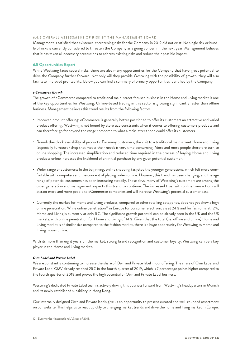## 6.4.6 OVERALL ASSESSMENT OF RISK BY THE MANAGEMENT BOARD

Management is satisfied that existence-threatening risks for the Company in 2019 did not exist. No single risk or bundle of risks is currently considered to threaten the Company as a going concern in the next year. Management believes that it has taken all necessary precautions to address existing risks and reduce their possible impact.

## **6.5 Opportunities Report**

While Westwing faces several risks, there are also many opportunities for the Company that have great potential to drive the Company further forward. Not only will they provide Westwing with the possibility of growth, they will also facilitate improved profitability. Below you can find a summary of primary opportunities identified by the Company.

## *e-Commerce Growth*

The growth of eCommerce compared to traditional main-street focused business in the Home and Living market is one of the key opportunities for Westwing. Online-based trading in this sector is growing significantly faster than offline business. Management believes this trend results from the following factors:

- Improved product offering: eCommerce is generally better positioned to offer its customers an attractive and varied product offering. Westwing is not bound by store size constraints when it comes to offering customers products and can therefore go far beyond the range compared to what a main-street shop could offer its customers.
- Round-the-clock availability of products: For many customers, the visit to a traditional main-street Home and Living (especially furniture) shop that meets their needs is very time consuming. More and more people therefore turn to online shopping. The increased simplification and reduced time required in the process of buying Home and Living products online increases the likelihood of an initial purchase by any given potential customer.
- Wider range of customers: In the beginning, online shopping targeted the younger generations, which felt more comfortable with computers and the concept of placing orders online. However, this trend has been changing, and the age range of potential customers has been increasing steadily. These days, many of Westwing's customers are among the older generation and management expects this trend to continue. The increased trust with online transactions will attract more and more people to eCommerce companies and will increase Westwing's potential customer base.
- Currently the market for Home and Living products, compared to other retailing categories, does not yet show a high online penetration. While online penetration<sup>12</sup> in Europe for consumer electronics is at 24 % and for fashion is at 12 %, Home and Living is currently at only 5 %. The significant growth potential can be already seen in the UK and the US markets, with online penetration for Home and Living of 14 %. Given that the total (i.e. offline and online) Home and Living market is of similar size compared to the fashion market, there is a huge opportunity for Westwing as Home and Living moves online.

With its more than eight years on the market, strong brand recognition and customer loyalty, Westwing can be a key player in the Home and Living market.

## *Own Label and Private Label*

We are constantly continuing to increase the share of Own and Private label in our offering. The share of Own Label and Private Label GMV already reached 25 % in the fourth quarter of 2019, which is 7 percentage points higher compared to the fourth quarter of 2018 and proves the high potential of Own and Private Label business.

Westwing's dedicated Private Label team is actively driving this business forward from Westwing's headquarters in Munich and its newly established subsidiary in Hong Kong.

Our internally designed Own and Private labels give us an opportunity to present curated and well-rounded assortment on our website. This helps us to react quickly to changing market trends and drive the home and living market in Europe.

<sup>12</sup> Euromonitor International. Values of 2018.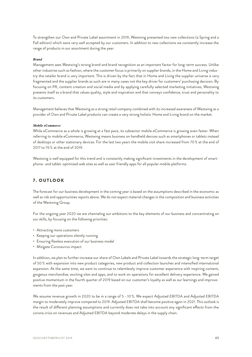To strengthen our Own and Private Label assortment in 2019, Westwing presented two new collections (a Spring and a Fall edition) which were very well accepted by our customers. In addition to new collections we constantly increase the range of products in our assortment during the year.

## *Brand*

Management sees Westwing's strong brand and brand recognition as an important factor for long-term success. Unlike other industries such as fashion, where the customer focus is primarily on supplier brands, in the Home and Living industry the retailer brand is very important. This is driven by the fact that in Home and Living the supplier universe is very fragmented and the supplier brands as such are in many cases not the key driver for customers' purchasing decision. By focusing on PR, content creation and social media and by applying carefully selected marketing initiatives, Westwing presents itself as a brand that values quality, style and inspiration and that conveys confidence, trust and personality to its customers.

Management believes that Westwing as a strong retail company combined with its increased awareness of Westwing as a provider of Own and Private Label products can create a very strong holistic Home and Living brand on the market.

#### *Mobile eCommerce*

While eCommerce as a whole is growing at a fast pace, its subsector mobile eCommerce is growing even faster. When referring to mobile eCommerce, Westwing means business on handheld devices such as smartphones or tablets instead of desktops or other stationary devices. For the last two years the mobile visit share increased from 70 % at the end of 2017 to 76 % at the end of 2019.

Westwing is well equipped for this trend and is constantly making significant investments in the development of smartphone- and tablet-optimized web sites as well as user friendly apps for all popular mobile platforms.

# 7. OUTLOOK

The forecast for our business development in the coming year is based on the assumptions described in the economic as well as risk and opportunities reports above. We do not expect material changes in the composition and business activities of the Westwing Group.

For the ongoing year 2020 we are channeling our ambitions to the key elements of our business and concentrating on our skills, by focusing on the following priorities:

- Attracting more customers
- Keeping our operations silently running
- Ensuring flawless execution of our business model
- Mitigate Coronavirus impact

In addition, we plan to further increase our share of Own Labels and Private Label towards the strategic long-term target of 50 % with expansion into new product categories, new product and collection launches and intensified international expansion. At the same time, we want to continue to relentlessly improve customer experience with inspiring content, gorgeous merchandise, exciting sites and apps, and to work on operations for excellent delivery experience. We gained positive momentum in the fourth quarter of 2019 based on our customer's loyalty as well as our learnings and improvements from the past year.

We assume revenue growth in 2020 to be in a range of 5 –10 %. We expect Adjusted EBITDA and Adjusted EBITDA margin to moderately improve compared to 2019. Adjusted EBITDA shall become positive again in 2021. This outlook is the result of different planning assumptions and currently does not take into account any significant effects from the corona crisis on revenues and Adjusted EBITDA beyond moderate delays in the supply chain.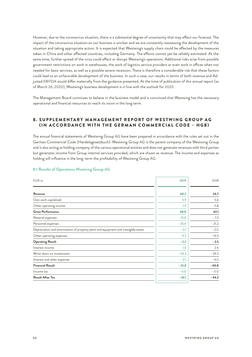However, due to the coronavirus situation, there is a substantial degree of uncertainty that may affect our forecast. The impact of the coronavirus situation on our business is unclear and we are constantly reassessing the development of the situation and taking appropriate action. It is expected that Westwing's supply chain could be affected by the measures taken in China and other affected countries, including Germany. The effects cannot yet be reliably estimated. At the same time, further spread of the virus could affect or disrupt Westwing's operations. Additional risks arise from possible government restrictions on work in warehouses, the work of logistics service providers or even work in offices when not needed for basic services, as well as a possible severe recession. There is therefore a considerable risk that these factors could lead to an unfavorable development of the business. In such a case, our results in terms of both revenue and Adjusted EBITDA would differ materially from the guidance presented. At the time of publication of this annual report (as of March 26, 2020), Westwing's business development is in line with the outlook for 2020.

The Management Board continues to believe in the business model and is convinced that Westwing has the necessary operational and financial resources to reach its vision in the long term.

# 8. SUPPLEMENTARY MANAGEMENT REPORT OF WESTWING GROUP AG (IN ACCORDANCE WITH THE GERMAN COMMERCIAL CODE – HGB)

The annual financial statements of Westwing Group AG have been prepared in accordance with the rules set out in the German Commercial Code (Handelsgesetzbuch). Westwing Group AG is the parent company of the Westwing Group and is also acting as holding company of the various operational entities and does not generate revenues with third parties but generates income from Group internal services provided, which are shown as revenue. The income and expenses as holding will influence in the long-term the profitability of Westwing Group AG.

| EUR <sub>m</sub>                                                                    | 2019    | 2018     |
|-------------------------------------------------------------------------------------|---------|----------|
| Revenue                                                                             | 40.2    | 24.7     |
| Own work capitalized                                                                | 5.9     | 5.6      |
| Other operating income                                                              | 1.9     | 11.8     |
| <b>Gross Performance</b>                                                            | 48.0    | 42.1     |
| Material expenses                                                                   | $-12.0$ | $-7.5$   |
| Personnel expenses                                                                  | $-25.4$ | $-21.2$  |
| Depreciation and amortization of property plant and equipment and intangible assets | $-3.1$  | $-2.0$   |
| Other operating expenses                                                            | $-9.7$  | $-14.9$  |
| <b>Operating Result</b>                                                             | $-2.2$  | $-3.5$   |
| Interest income                                                                     | 1.6     | 2.4      |
| Write-down on investments                                                           | $-23.3$ | $-39.3$  |
| Interest and other expenses                                                         | $-2.1$  | $-4.0$   |
| <b>Financial Result</b>                                                             | $-23.8$ | $-40.8$  |
| Income tax                                                                          | $-0.0$  | $-0.0 -$ |
| <b>Result After Tax</b>                                                             | $-26.1$ | $-44.3$  |

# **8.1 Results of Operations Westwing Group AG**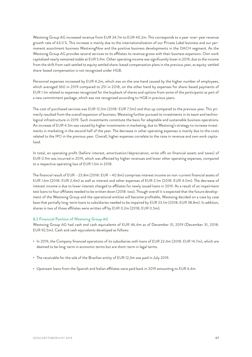Westwing Group AG increased revenue from EUR 24.7m to EUR 40.2m. This corresponds to a year-over-year revenue growth rate of 63.0 %. This increase is mainly due to the internationalization of our Private Label business and our permanent assortment business WestwingNow and the positive business developments in the DACH segment. As the Westwing Group AG provides several services to its affiliates its revenue grows with their business expansion. Own work capitalized nearly remained stable at EUR 5.9m. Other operating income was significantly lower in 2019, due to the income from the shift from cash settled to equity settled share-based compensation plans in the previous year, as equity-settled share-based compensation is not recognized under HGB.

Personnel expenses increased by EUR 4.2m, which was on the one hand caused by the higher number of employees, which averaged 360 in 2019 compared to 251 in 2018, on the other hand by expenses for share-based payments of EUR 1.1m related to expenses recognized for the buyback of shares and options from some of the participants as part of a new commitment package, which was not recognized according to HGB in previous years.

The cost of purchased services was EUR 12.0m (2018: EUR 7.5m) and thus up compared to the previous year. This primarily resulted from the overall expansion of business. Westwing further pursued its investments in its team and technological infrastructure in 2019. Such investments constitute the basis for adaptable and sustainable business operations. An increase of EUR 4.3m was caused by higher investments in marketing, due to Westwing's strategy to increase investments in marketing in the second half of the year. The decrease in other operating expenses is mainly due to the costs related to the IPO in the previous year. Overall, higher expenses correlate to the raise in revenue and own work capitalized.

In total, an operating profit (before interest, amortization/depreciation, write offs on financial assets and taxes) of EUR 0.9m was incurred in 2019, which was affected by higher revenues and lower other operating expenses, compared to a respective operating loss of EUR 1.5m in 2018.

The financial result of EUR –23.8m (2018: EUR –40.8m) comprises interest income on non-current financial assets of EUR 1.6m (2018: EUR 2.4m) as well as interest and other expenses of EUR 2.1m (2018: EUR 4.0m). The decrease of interest income is due to lower interest charged to affiliates for newly issued loans in 2019. As a result of an impairment test loans to four affiliates needed to be written down (2018: two). Though overall it is expected that the future development of the Westwing Group and the operational entities will become profitable, Westwing decided on a case by case base that partially long-term loans to subsidiaries needed to be impaired by EUR 23.1m (2018: EUR 38.8m). In addition, shares in two of those affiliates were written off by EUR 0.2m (2018; EUR 0.5m).

# **8.2 Financial Position of Westwing Group AG**

Westwing Group AG had cash and cash equivalents of EUR 46.4m as of December 31, 2019 (December 31, 2018: EUR 92.5m). Cash and cash equivalents developed as follows:

- In 2019, the Company financed operations of its subsidiaries with loans of EUR 22.4m (2018: EUR 14.7m), which are deemed to be long-term in economic terms but are short-term in legal terms.
- The receivable for the sale of the Brazilian entity of EUR 12,3m was paid in July 2019.
- Upstream loans from the Spanish and Italian affiliates were paid back in 2019 amounting to EUR 6.4m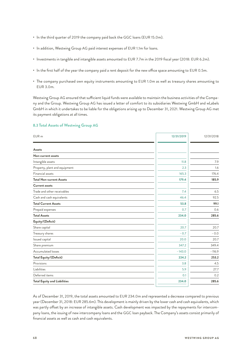- In the third quarter of 2019 the company paid back the GGC loans (EUR 15.0m).
- In addition, Westwing Group AG paid interest expenses of EUR 1.1m for loans.
- Investments in tangible and intangible assets amounted to EUR 7.7m in the 2019 fiscal year (2018: EUR 6.2m).
- In the first half of the year the company paid a rent deposit for the new office space amounting to EUR 0.5m.
- The company purchased own equity instruments amounting to EUR 1.0m as well as treasury shares amounting to EUR 3.0m.

Westwing Group AG ensured that sufficient liquid funds were available to maintain the business activities of the Company and the Group. Westwing Group AG has issued a letter of comfort to its subsidiaries Westwing GmbH and wLabels GmbH in which it undertakes to be liable for the obligations arising up to December 31, 2021. Westwing Group AG met its payment obligations at all times.

# **8.3 Total Assets of Westwing Group AG**

| Assets<br>Non-current assets<br>Intangible assets |          |          |
|---------------------------------------------------|----------|----------|
|                                                   |          |          |
|                                                   |          |          |
|                                                   |          |          |
|                                                   | 11.8     | 7.9      |
| Property, plant and equipment                     | 2.3      | 1.6      |
| Financial assets                                  | 165.3    | 176.4    |
| <b>Total Non-current Assets</b>                   | 179.4    | 185.9    |
| <b>Current assets</b>                             |          |          |
| Trade and other receivables                       | 7.4      | 6.5      |
| Cash and cash equivalents                         | 46.4     | 92.5     |
| <b>Total Current Assets</b>                       | 53.8     | 99.1     |
| Prepaid expenses                                  | 0.7      | 0.6      |
| <b>Total Assets</b>                               | 234.0    | 285.6    |
| Equity/(Deficit)                                  |          |          |
| Share capital                                     | 20.7     | 20.7     |
| Treasury shares                                   | $-0.7$   | $-0.0$   |
| Issued capital                                    | 20.0     | 20.7     |
| Share premium                                     | 347.2    | 349.4    |
| Accumulated losses                                | $-143.0$ | $-116.9$ |
| Total Equity/(Deficit)                            | 224.2    | 253.2    |
| Provisions                                        | 3.8      | 4.5      |
| Liabilities                                       | 5.9      | 27.7     |
| Deferred items                                    | 0.1      | 0.2      |
| <b>Total Equity and Liabilities</b>               | 234.0    | 285.6    |

As of December 31, 2019, the total assets amounted to EUR 234.0m and represented a decrease compared to previous year (December 31, 2018: EUR 285.6m). This development is mainly driven by the lower cash and cash equivalents, which was partly offset by an increase of intangible assets. Cash development was impacted by the repayments for intercompany loans, the issuing of new intercompany loans and the GGC loan payback. The Company's assets consist primarily of financial assets as well as cash and cash equivalents.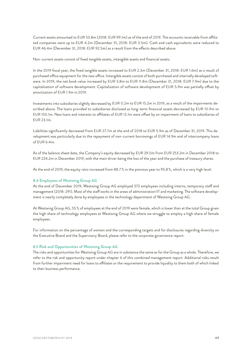Current assets amounted to EUR 53.8m (2018: EUR 99.1m) as of the end of 2019. The accounts receivable from affiliated companies were up to EUR 4.2m (December 31, 2018: EUR 3.5m). Cash and cash equivalents were reduced to EUR 46.4m (December 31, 2018: EUR 92.5m) as a result from the effects described above.

Non-current assets consist of fixed tangible assets, intangible assets and financial assets.

In the 2019 fiscal year, the fixed tangible assets increased to EUR 2.3m (December 31, 2018: EUR 1.6m) as a result of purchased office equipment for the new office. Intangible assets consist of both purchased and internally developed software. In 2019, the net book value increased by EUR 3.8m to EUR 11.8m (December 31, 2018: EUR 7.9m) due to the capitalization of software development. Capitalization of software development of EUR 5.9m was partially offset by amortization of EUR 1.9m in 2019.

Investments into subsidiaries slightly decreased by EUR 0.2m to EUR 15.2m in 2019, as a result of the impairments described above. The loans provided to subsidiaries disclosed as long-term financial assets decreased by EUR 10.9m to EUR 150.1m. New loans and interests to affiliates of EUR 12.1m were offset by an impairment of loans to subsidiaries of EUR 23.1m.

Liabilities significantly decreased from EUR 27.7m at the end of 2018 to EUR 5.9m as of December 31, 2019. This development was particularly due to the repayment of non-current borrowings of EUR 14.9m and of intercompany loans of EUR 6.4m.

As of the balance sheet date, the Company's equity decreased by EUR 29.0m from EUR 253.2m in December 2018 to EUR 224.2m in December 2019, with the main driver being the loss of the year and the purchase of treasury shares.

At the end of 2019, the equity ratio increased from 88.7 % in the previous year to 95.8 %, which is a very high level.

## **8.4 Employees of Westwing Group AG**

At the end of December 2019, Westwing Group AG employed 372 employees including interns, temporary staff and management (2018: 291). Most of the staff works in the areas of administration/IT and marketing. The software development is nearly completely done by employees in the technology department of Westwing Group AG.

At Westwing Group AG, 55 % of employees at the end of 2019 were female, which is lower than at the total Group given the high share of technology employees at Westwing Group AG where we struggle to employ a high share of female employees.

For information on the percentage of women and the corresponding targets and for disclosures regarding diversity on the Executive Board and the Supervisory Board, please refer to the corporate governance report.

#### **8.5 Risk and Opportunities of Westwing Group AG**

The risks and opportunities for Westwing Group AG are in substance the same as for the Group as a whole. Therefore, we refer to the risk and opportunity report under chapter 6 of this combined management report. Additional risks result from further impairment need for loans to affiliates or the requirement to provide liquidity to them both of which linked to their business performance.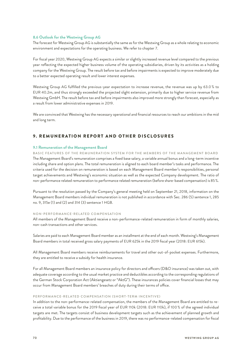## **8.6 Outlook for the Westwing Group AG**

The forecast for Westwing Group AG is substantially the same as for the Westwing Group as a whole relating to economic environment and expectations for the operating business. We refer to chapter 7.

For fiscal year 2020, Westwing Group AG expects a similar or slightly increased revenue level compared to the previous year reflecting the expected higher business volume of the operating subsidiaries, driven by its activities as a holding company for the Westwing Group. The result before tax and before impairments is expected to improve moderately due to a better expected operating result and lower interest expenses.

Westwing Group AG fulfilled the previous-year expectation to increase revenue, the revenue was up by 63.0 % to EUR 40.2m, and thus strongly exceeded the projected slight extension, primarily due to higher service revenue from Westwing GmbH. The result before tax and before impairments also improved more strongly than forecast, especially as a result from lower administrative expenses in 2019.

We are convinced that Westwing has the necessary operational and financial resources to reach our ambitions in the mid and long term.

# 9. REMUNERATION REPORT AND OTHER DISCLOSURES

## **9.1 Remuneration of the Management Board**

BASIC FEATURES OF THE REMUNERATION SYSTEM FOR THE MEMBERS OF THE MANAGEMENT BOARD The Management Board's remuneration comprises a fixed base salary, a variable annual bonus and a long-term incentive including share and option plans. The total remuneration is aligned to each board member's tasks and performance. The criteria used for the decision on remuneration is based on each Management Board member's responsibilities, personal target achievements and Westwing's economic situation as well as the expected Company development. The ratio of non-performance related remuneration to performance related remuneration (before share-based compensation) is 85 %.

Pursuant to the resolution passed by the Company's general meeting held on September 21, 2018, information on the Management Board members individual remuneration is not published in accordance with Sec. 286 (5) sentence 1, 285 no. 9, 315e (1) and (2) and 314 (3) sentence 1 HGB.

#### NON-PERFORMANCE-RELATED COMPENSATION

All members of the Management Board receive a non-performance-related remuneration in form of monthly salaries, non-cash transactions and other services.

Salaries are paid to each Management Board member as an installment at the end of each month. Westwing's Management Board members in total received gross salary payments of EUR 625k in the 2019 fiscal year (2018: EUR 615k).

All Management Board members receive reimbursements for travel and other out-of-pocket expenses. Furthermore, they are entitled to receive a subsidy for health insurance.

For all Management Board members an insurance policy for directors and officers (D&O insurance) was taken out, with adequate coverage according to the usual market practice and deductibles according to the corresponding regulations of the German Stock Corporation Act (Aktiengesetz or "AktG"). These insurances policies cover financial losses that may occur from Management Board members' breaches of duty during their terms of office.

#### PERFORMANCE-RELATED COMPENSATION (SHORT-TERM INCENTIVE)

In addition to the non-performance-related compensation, the members of the Management Board are entitled to receive a total variable bonus for the 2019 fiscal year of EUR 110k (2018: EUR 110k), if 100 % of the agreed individual targets are met. The targets consist of business development targets such as the achievement of planned growth and profitability. Due to the performance of the business in 2019, there was no performance-related compensation for fiscal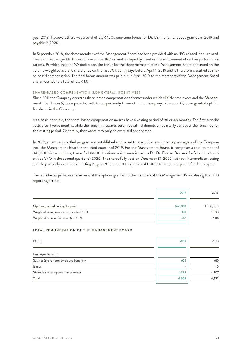year 2019. However, there was a total of EUR 100k one-time bonus for Dr. Dr. Florian Drabeck granted in 2019 and payable in 2020.

In September 2018, the three members of the Management Board had been provided with an IPO related-bonus award. The bonus was subject to the occurrence of an IPO or another liquidity event or the achievement of certain performance targets. Provided that an IPO took place, the bonus for the three members of the Management Board depended on the volume-weighted average share price on the last 30 trading days before April 1, 2019 and is therefore classified as share-based compensation. The final bonus amount was paid out in April 2019 to the members of the Management Board and amounted to a total of EUR 1.0m.

# SHARE-BASED COMPENSATION (LONG-TERM INCENTIVES)

Since 2011 the Company operates share-based compensation schemes under which eligible employees and the Management Board have (i) been provided with the opportunity to invest in the Company's shares or (ii) been granted options for shares in the Company.

As a basic principle, the share-based compensation awards have a vesting period of 36 or 48 months. The first tranche vests after twelve months, while the remaining awards vest in equal instalments on quarterly basis over the remainder of the vesting period. Generally, the awards may only be exercised once vested.

In 2019, a new cash-settled program was established and issued to executives and other top managers of the Company incl. the Management Board in the third quarter of 2019. For the Management Board, it comprises a total number of 342,000 virtual options, thereof all 84,000 options which were issued to Dr. Dr. Florian Drabeck forfeited due to his exit as CFO in the second quarter of 2020. The shares fully vest on December 31, 2022, without intermediate vesting and they are only exercisable starting August 2023. In 2019, expenses of EUR 0.1m were recognized for this program.

The table below provides an overview of the options granted to the members of the Management Board during the 2019 reporting period:

|                                           | 2019    | 2018      |
|-------------------------------------------|---------|-----------|
| Options granted during the period         | 342,000 | 1,068,300 |
| Weighted average exercise price (in EUR): | 1.00    | 18.88     |
| Weighted average fair value (in EUR):     | 2.57    | 34.86     |

# **TOTAL REMUNERATION OF THE MANAGEMENT BOARD**

| EUR k                                   | 2019  | 2018  |
|-----------------------------------------|-------|-------|
| Employee benefits:                      |       |       |
| Salaries (short-term employee benefits) | 625   | 615   |
| Bonus                                   | -     | 110   |
| Share-based compensation expenses       | 4,333 | 4,207 |
| Total                                   | 4,958 | 4,932 |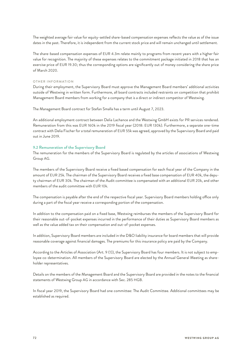The weighted average fair value for equity-settled share-based compensation expenses reflects the value as of the issue dates in the past. Therefore, it is independent from the current stock price and will remain unchanged until settlement.

The share-based compensation expenses of EUR 4.3m relate mainly to programs from recent years with a higher fair value for recognition. The majority of these expenses relates to the commitment package initiated in 2018 that has an exercise price of EUR 19.30; thus the corresponding options are significantly out of money considering the share price of March 2020.

## OTHER INFORMATION

During their employment, the Supervisory Board must approve the Management Board members' additional activities outside of Westwing in written form. Furthermore, all board contracts included restraints on competition that prohibit Management Board members from working for a company that is a direct or indirect competitor of Westwing.

The Management Board contract for Stefan Smalla has a term until August 7, 2023.

An additional employment contract between Delia Lachance and the Westwing GmbH exists for PR services rendered. Remuneration from this was EUR 160k in the 2019 fiscal year (2018: EUR 130k). Furthermore, a separate one-time contract with Delia Fischer for a total remuneration of EUR 55k was agreed, approved by the Supervisory Board and paid out in June 2019.

# **9.2 Remuneration of the Supervisory Board**

The remuneration for the members of the Supervisory Board is regulated by the articles of associations of Westwing Group AG.

The members of the Supervisory Board receive a fixed based compensation for each fiscal year of the Company in the amount of EUR 25k. The chairman of the Supervisory Board receives a fixed base compensation of EUR 40k, the deputy chairman of EUR 30k. The chairman of the Audit committee is compensated with an additional EUR 20k, and other members of the audit committee with EUR 10k.

The compensation is payable after the end of the respective fiscal year. Supervisory Board members holding office only during a part of the fiscal year receive a corresponding portion of the compensation.

In addition to the compensation paid on a fixed base, Westwing reimburses the members of the Supervisory Board for their reasonable out-of-pocket expenses incurred in the performance of their duties as Supervisory Board members as well as the value added tax on their compensation and out-of-pocket expenses.

In addition, Supervisory Board members are included in the D&O liability insurance for board members that will provide reasonable coverage against financial damages. The premiums for this insurance policy are paid by the Company.

According to the Articles of Association (Art. 9 (1)), the Supervisory Board has four members. It is not subject to employee co-determination. All members of the Supervisory Board are elected by the Annual General Meeting as shareholder representatives.

Details on the members of the Management Board and the Supervisory Board are provided in the notes to the financial statements of Westwing Group AG in accordance with Sec. 285 HGB.

In fiscal year 2019, the Supervisory Board had one committee: The Audit Committee. Additional committees may be established as required.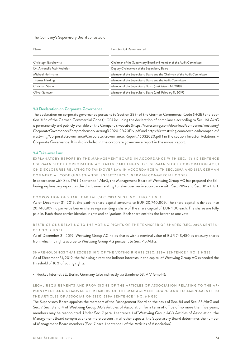## The Company's Supervisory Board consisted of

| Name                       | Function(s) Remunerated                                                 |  |
|----------------------------|-------------------------------------------------------------------------|--|
| Christoph Barchewitz       | Chairman of the Supervisory Board and member of the Audit Committee     |  |
| Dr. Antonella Mei-Pochtler | Deputy Chairwoman of the Supervisory Board                              |  |
| Michael Hoffmann           | Member of the Supervisory Board and the Chairman of the Audit Committee |  |
| Thomas Harding             | Member of the Supervisory Board and the Audit Committee                 |  |
| Christian Strain           | Member of the Supervisory Board (until March 14, 2019)                  |  |
| Oliver Samwer              | Member of the Supervisory Board (until February 11, 2019)               |  |

#### **9.3 Declaration on Corporate Governance**

The declaration on corporate governance pursuant to Section 289f of the German Commercial Code (HGB) and Section 315d of the German Commercial Code (HGB) including the declaration of compliance according to Sec. 161 AktG is permanently and publicly available on the Company's website [\(https://ir.westwing.com/download/companies/westwing/](https://ir.westwing.com/download/companies/westwing/CorporateGovernance/Entsprechenserklaerung%202019%20EN.pdf) [CorporateGovernance/Entsprechenserklaerung%202019](https://ir.westwing.com/download/companies/westwing/CorporateGovernance/Entsprechenserklaerung%202019%20EN.pdf) %20EN.pdf an[d https://ir.westwing.com/download/companies/](https://ir.westwing.com/download/companies/westwing/CorporateGovernance/Corporate_Governance_Report_16032020.pdf) [westwing/CorporateGovernance/Corporate\\_Governance\\_Report\\_16032020.pdf\)](https://ir.westwing.com/download/companies/westwing/CorporateGovernance/Corporate_Governance_Report_16032020.pdf) in the section Investor Relations – Corporate Governance. It is also included in the corporate governance report in the annual report.

## **9.4Take-over Law**

EXPLANATORY REPORT BY THE MANAGEMENT BOARD IN ACCORDANCE WITH SEC. 176 (1) SENTENCE 1 GERMAN STOCK CORPORATION ACT (AKTG ("AKTIENGESETZ": GERMAN STOCK CORPORATION ACT)) ON DISCLOSURES RELATING TO TAKE-OVER LAW IN ACCORDANCE WITH SEC. 289A AND 315A GERMAN COMMERCIAL CODE (HGB ("HANDELSGESETZBUCH": GERMAN COMMERCIAL CODE)

In accordance with Sec. 176 (1) sentence 1 AktG, the Management Board of Westwing Group AG has prepared the following explanatory report on the disclosures relating to take-over law in accordance with Sec. 289a and Sec. 315a HGB.

## COMPOSITION OF SHARE CAPITAL (SEC. 289A SENTENCE 1 NO. 1 HGB)

As of December 31, 2019, the paid-in share capital amounts to EUR 20,740,809. The share capital is divided into 20,740,809 no par value bearer shares representing a share of the share capital of EUR 1.00 each. The shares are fully paid in. Each share carries identical rights and obligations. Each share entitles the bearer to one vote.

# RESTRICTIONS RELATING TO THE VOTING RIGHTS OR THE TRANSFER OF SHARES (SEC. 289A SENTEN-CE 1 NO. 2 HGB)

As of December 31, 2019, Westwing Group AG holds shares with a nominal value of EUR 743,450 as treasury shares from which no rights accrue to Westwing Group AG pursuant to Sec. 71b AktG.

# SHAREHOLDINGS THAT EXCEED 10 % OF THE VOTING RIGHTS (SEC. 289A SENTENCE 1 NO. 3 HGB) As of December 31, 2019, the following direct and indirect interests in the capital of Westwing Group AG exceeded the threshold of 10 % of voting rights:

• Rocket Internet SE, Berlin, Germany (also indirectly via Bambino 53. V V GmbH);

# LEGAL REQUIREMENTS AND PROVISIONS OF THE ARTICLES OF ASSOCIATION RELATING TO THE AP-POINTMENT AND REMOVAL OF MEMBERS OF THE MANAGEMENT BOARD AND TO AMENDMENTS TO THE ARTICLES OF ASSOCIATION (SEC. 289A SENTENCE 1 NO. 6 HGB)

The Supervisory Board appoints the members of the Management Board on the basis of Sec. 84 and Sec. 85 AktG and Sec. 7 Sec. 3 and 4 of Westwing Group AG's Articles of Association for a term of office of no more than five years; members may be reappointed. Under Sec. 7 para. 1 sentence 1 of Westwing Group AG's Articles of Association, the Management Board comprises one or more persons; in all other aspects, the Supervisory Board determines the number of Management Board members (Sec. 7 para. 1 sentence 1 of the Articles of Association).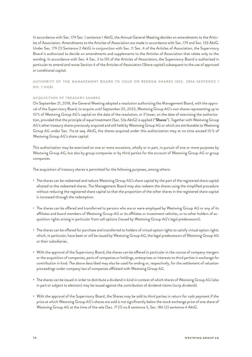In accordance with Sec. 179 Sec. 1 sentence 1 AktG, the Annual General Meeting decides on amendments to the Articles of Association. Amendments to the Articles of Association are made in accordance with Sec. 179 and Sec. 133 AktG. Under Sec. 179 (1) Sentence 2 AktG in conjunction with Sec. 11 Sec. 4 of the Articles of Association, the Supervisory Board is authorized to decide on amendments and supplements to the Articles of Association that relate only to the wording. In accordance with Sec. 4 Sec. 3 to (9) of the Articles of Association, the Supervisory Board is authorized in particular to amend and revise Section 4 of the Articles of Association (Share capital) subsequent to the use of approved or conditional capital.

AUTHORITY OF THE MANAGEMENT BOARD TO ISSUE OR REDEEM SHARES (SEC. 289A SENTENCE 1 NO. 7 HGB)

## ACQUISITION OF TREASURY SHARES

On September 21, 2018, the General Meeting adopted a resolution authorizing the Management Board, with the approval of the Supervisory Board, to acquire until September 20, 2023, Westwing Group AG's own shares representing up to 10 % of Westwing Group AG's capital on the date of the resolution, or if lower, on the date of exercising the authorization, provided that the principle of equal treatment (Sec. 53a AktG) is applied ("**Shares**"). Together with Westwing Group AG's other treasury shares previously acquired and still held by Westwing Group AG or which are attributable to Westwing Group AG under Sec. 71a et seq. AktG, the shares acquired under this authorization may at no time exceed 10 % of Westwing Group AG's share capital.

This authorization may be exercised on one or more occasions, wholly or in part, in pursuit of one or more purposes by Westwing Group AG, but also by group companies or by third parties for the account of Westwing Group AG or group companies.

The acquisition of treasury shares is permitted for the following purposes, among others:

- The shares can be redeemed and reduce Westwing Group AG's share capital by the part of the registered share capital allotted to the redeemed shares. The Management Board may also redeem the shares using the simplified procedure without reducing the registered share capital so that the proportion of the other shares in the registered share capital is increased through the redemption.
- The shares can be offered and transferred to persons who are or were employed by Westwing Group AG or any of its affiliates and board members of Westwing Group AG or its affiliates or investment vehicles, or to other holders of acquisition rights arising in particular from call options (issued by Westwing Group AG's legal predecessors).
- The shares can be offered for purchase and transferred to holders of virtual option rights to satisfy virtual option rights which, in particular, have been or will be issued by Westwing Group AG, the legal predecessors of Westwing Group AG or their subsidiaries.
- With the approval of the Supervisory Board, the shares can be offered in particular in the course of company mergers or the acquisition of companies, parts of companies or holdings, enterprises or interests to third parties in exchange for contribution in kind. The above described may also be used for ending or, respectively, for the settlement of valuation proceedings under company law of companies affiliated with Westwing Group AG.
- The shares can be issued in order to distribute a dividend in kind in context of which shares of Westwing Group AG (also in part or subject to election) may be issued against the contribution of dividend claims (scrip dividend).
- With the approval of the Supervisory Board, the Shares may be sold to third parties in return for cash payment if the price at which Westwing Group AG's shares are sold is not significantly below the stock exchange price of one share of Westwing Group AG at the time of the sale (Sec. 71 (1) no.8 sentence 5, Sec. 186 (3) sentence 4 AktG.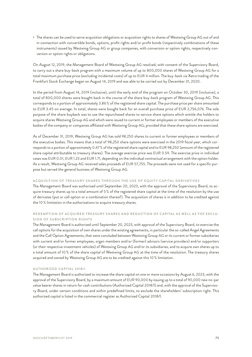• The shares can be used to serve acquisition obligations or acquisition rights to shares of Westwing Group AG out of and in connection with convertible bonds, options, profit rights and/or profit bonds (respectively combinations of these instruments) issued by Westwing Group AG or group companies, with conversion or option rights, respectively conversion or option rights or obligations.

On August 12, 2019, the Management Board of Westwing Group AG resolved, with consent of the Supervisory Board, to carry out a share buy-back program with a maximum volume of up to 800,000 shares of Westwing Group AG for a total maximum purchase price (excluding incidental costs) of up to EUR 4 million. The buy-back via Xetra trading of the Frankfurt Stock Exchange began on August 14, 2019 and was able to be carried out by December 31, 2020.

In the period from August 14, 2019 (inclusive), until the early end of the program on October 30, 2019 (inclusive), a total of 800,000 shares were bought back in the course of the share buy-back program of Westwing Group AG. This corresponds to a portion of approximately 3.86 % of the registered share capital. The purchase price per share amounted to EUR 3.45 on average. In total, shares were bought back for an overall purchase price of EUR 2,756,076. The sole purpose of the share buyback was to use the repurchased shares to service share options which entitle the holders to acquire shares Westwing Group AG and which were issued to current or former employees or members of the executive bodies of the company or companies affiliated with Westwing Group AG, provided that these share options are exercised.

As of December 31, 2019, Westwing Group AG has sold 98.250 shares to current or former employees or members of the executive bodies. This means that a total of 98,250 share options were exercised in the 2019 fiscal year, which corresponds to a portion of approximately 0.47% of the registered share capital and to EUR 98,250 (amount of the registered share capital attributable to treasury shares). The average exercise price was EUR 0.59. The exercise price in individual cases was EUR 0.01, EUR 1.23 and EUR 1.71, depending on the individual contractual arrangement with the option holder. As a result, Westwing Group AG received sales proceeds of EUR 57,755. The proceeds were not used for a specific purpose but served the general business of Westwing Group AG.

## ACQUISITION OF TREASURY SHARES THROUGH THE USE OF EQUITY CAPITAL DERIVATIVES

The Management Board was authorized until September 20, 2023, with the approval of the Supervisory Board, to acquire treasury shares up to a total amount of 5 % of the registered share capital at the time of the resolution by the use of derivates (put or call option or a combination thereof). The acquisition of shares is in addition to be credited against the 10 % limitation in the authorizations to acquire treasury shares.

# REDEMPTION OF ACQUIRED TREASURY SHARES AND REDUCTION OF CAPITAL AS WELL AS THE EXCLU-SION OF SUBSCRIPTION RIGHTS

The Management Board is authorized until September 20, 2023, with approval of the Supervisory Board, to exercise the call options for the acquisition of own shares under the existing agreements, in particular the so-called Angel Agreements and the Call Option Agreements, that were concluded between Westwing Group AG or its current or former subsidiaries with current and/or former employees, organ members and/or (former) advisors (service providers) and/or supporters (or their respective investment vehicles) of Westwing Group AG and/or its subsidiaries, and to acquire own shares up to a total amount of 10 % of the share capital of Westwing Group AG at the time of the resolution. The treasury shares acquired and owned by Westwing Group AG are to be credited against this 10 % limitation.

## AUTHORIZED CAPITAL 2018/I

The Management Board is authorized to increase the share capital on one or more occasions by August 6, 2023, with the approval of the Supervisory Board, by a maximum amount of EUR 90,000 by issuing up to a total of 90,000 new no-par value bearer shares in return for cash contributions (Authorized Capital 2018/I) and, with the approval of the Supervisory Board, under certain conditions and within predefined limits, to exclude the shareholders' subscription right. This authorized capital is listed in the commercial register as Authorized Capital 2018/I.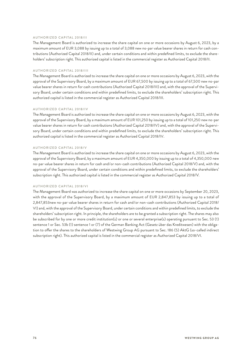#### AUTHORIZED CAPITAL 2018/II

The Management Board is authorized to increase the share capital on one or more occasions by August 6, 2023, by a maximum amount of EUR 3,088 by issuing up to a total of 3,088 new no-par value bearer shares in return for cash contributions (Authorized Capital 2018/II) and, under certain conditions and within predefined limits, to exclude the shareholders' subscription right. This authorized capital is listed in the commercial register as Authorized Capital 2018/II.

#### AUTHORIZED CAPITAL 2018/III

The Management Board is authorized to increase the share capital on one or more occasions by August 6, 2023, with the approval of the Supervisory Board, by a maximum amount of EUR 67,500 by issuing up to a total of 67,500 new no-par value bearer shares in return for cash contributions (Authorized Capital 2018/III) and, with the approval of the Supervisory Board, under certain conditions and within predefined limits, to exclude the shareholders' subscription right. This authorized capital is listed in the commercial register as Authorized Capital 2018/III.

## AUTHORIZED CAPITAL 2018/IV

The Management Board is authorized to increase the share capital on one or more occasions by August 6, 2023, with the approval of the Supervisory Board, by a maximum amount of EUR 101,250 by issuing up to a total of 101,250 new no-par value bearer shares in return for cash contributions (Authorized Capital 2018/IV) and, with the approval of the Supervisory Board, under certain conditions and within predefined limits, to exclude the shareholders' subscription right. This authorized capital is listed in the commercial register as Authorized Capital 2018/IV.

#### AUTHORIZED CAPITAL 2018/V

The Management Board is authorized to increase the share capital on one or more occasions by August 6, 2023, with the approval of the Supervisory Board, by a maximum amount of EUR 4,350,000 by issuing up to a total of 4,350,000 new no-par value bearer shares in return for cash and/or non-cash contributions (Authorized Capital 2018/V) and, with the approval of the Supervisory Board, under certain conditions and within predefined limits, to exclude the shareholders' subscription right. This authorized capital is listed in the commercial register as Authorized Capital 2018/V.

## AUTHORIZED CAPITAL 2018/VI

The Management Board was authorized to increase the share capital on one or more occasions by September 20, 2023, with the approval of the Supervisory Board, by a maximum amount of EUR 2,847,853 by issuing up to a total of 2,847,853new no-par value bearer shares in return for cash and/or non-cash contributions (Authorized Capital 2018/ VI) and, with the approval of the Supervisory Board, under certain conditions and within predefined limits, to exclude the shareholders' subscription right. In principle, the shareholders are to be granted a subscription right. The shares may also be subscribed for by one or more credit institution(s) or one or several enterprise(s) operating pursuant to Sec. 53 (1) sentence 1 or Sec. 53b (1) sentence 1 or (7) of the German Banking Act (Gesetz über das Kreditwesen) with the obligation to offer the shares to the shareholders of Westwing Group AG pursuant to Sec. 186 (5) AktG (so-called indirect subscription right). This authorized capital is listed in the commercial register as Authorized Capital 2018/VI.